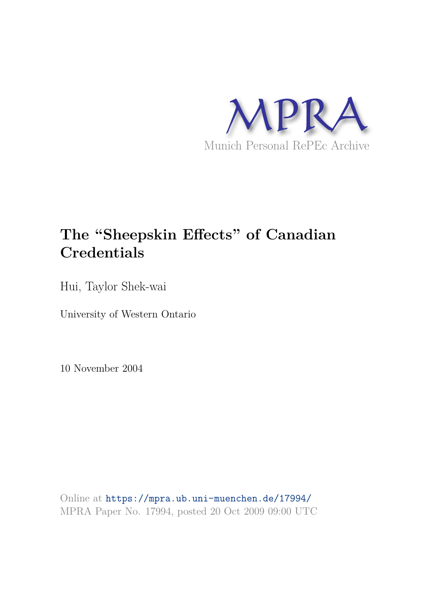

# **The "Sheepskin Effects" of Canadian Credentials**

Hui, Taylor Shek-wai

University of Western Ontario

10 November 2004

Online at https://mpra.ub.uni-muenchen.de/17994/ MPRA Paper No. 17994, posted 20 Oct 2009 09:00 UTC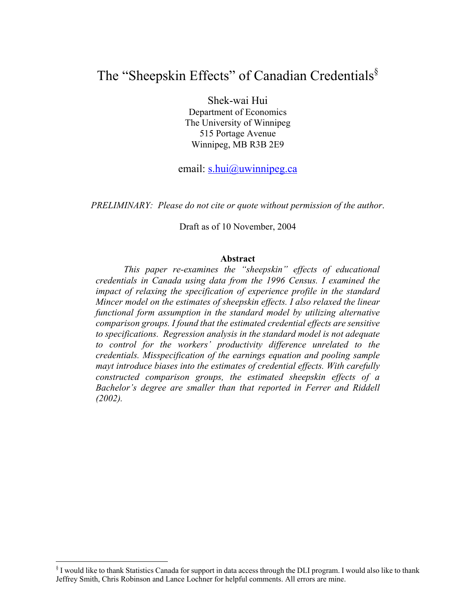## The "Sheepskin Effects" of Canadian Credentials<sup>§</sup>

Shek-wai Hui Department of Economics The University of Winnipeg 515 Portage Avenue Winnipeg, MB R3B 2E9

email: s.hui@uwinnipeg.ca

*PRELIMINARY: Please do not cite or quote without permission of the author*.

Draft as of 10 November, 2004

#### **Abstract**

*This paper re-examines the "sheepskin" effects of educational credentials in Canada using data from the 1996 Census. I examined the impact of relaxing the specification of experience profile in the standard Mincer model on the estimates of sheepskin effects. I also relaxed the linear functional form assumption in the standard model by utilizing alternative comparison groups. I found that the estimated credential effects are sensitive to specifications. Regression analysis in the standard model is not adequate to control for the workers' productivity difference unrelated to the credentials. Misspecification of the earnings equation and pooling sample mayt introduce biases into the estimates of credential effects. With carefully constructed comparison groups, the estimated sheepskin effects of a Bachelor's degree are smaller than that reported in Ferrer and Riddell (2002).* 

-

<sup>§</sup> I would like to thank Statistics Canada for support in data access through the DLI program. I would also like to thank Jeffrey Smith, Chris Robinson and Lance Lochner for helpful comments. All errors are mine.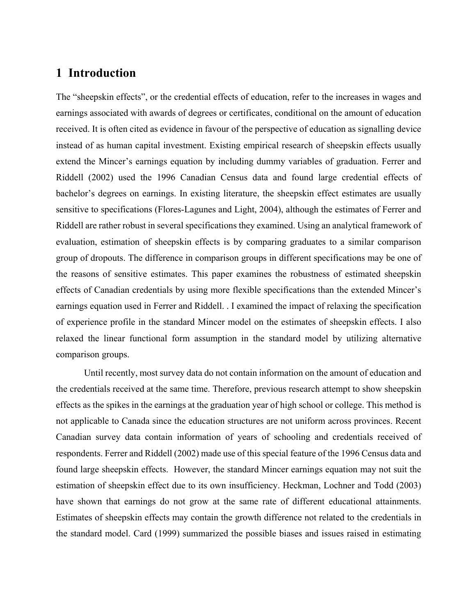## **1 Introduction**

The "sheepskin effects", or the credential effects of education, refer to the increases in wages and earnings associated with awards of degrees or certificates, conditional on the amount of education received. It is often cited as evidence in favour of the perspective of education as signalling device instead of as human capital investment. Existing empirical research of sheepskin effects usually extend the Mincer's earnings equation by including dummy variables of graduation. Ferrer and Riddell (2002) used the 1996 Canadian Census data and found large credential effects of bachelor's degrees on earnings. In existing literature, the sheepskin effect estimates are usually sensitive to specifications (Flores-Lagunes and Light, 2004), although the estimates of Ferrer and Riddell are rather robust in several specifications they examined. Using an analytical framework of evaluation, estimation of sheepskin effects is by comparing graduates to a similar comparison group of dropouts. The difference in comparison groups in different specifications may be one of the reasons of sensitive estimates. This paper examines the robustness of estimated sheepskin effects of Canadian credentials by using more flexible specifications than the extended Mincer's earnings equation used in Ferrer and Riddell. . I examined the impact of relaxing the specification of experience profile in the standard Mincer model on the estimates of sheepskin effects. I also relaxed the linear functional form assumption in the standard model by utilizing alternative comparison groups.

Until recently, most survey data do not contain information on the amount of education and the credentials received at the same time. Therefore, previous research attempt to show sheepskin effects as the spikes in the earnings at the graduation year of high school or college. This method is not applicable to Canada since the education structures are not uniform across provinces. Recent Canadian survey data contain information of years of schooling and credentials received of respondents. Ferrer and Riddell (2002) made use of this special feature of the 1996 Census data and found large sheepskin effects. However, the standard Mincer earnings equation may not suit the estimation of sheepskin effect due to its own insufficiency. Heckman, Lochner and Todd (2003) have shown that earnings do not grow at the same rate of different educational attainments. Estimates of sheepskin effects may contain the growth difference not related to the credentials in the standard model. Card (1999) summarized the possible biases and issues raised in estimating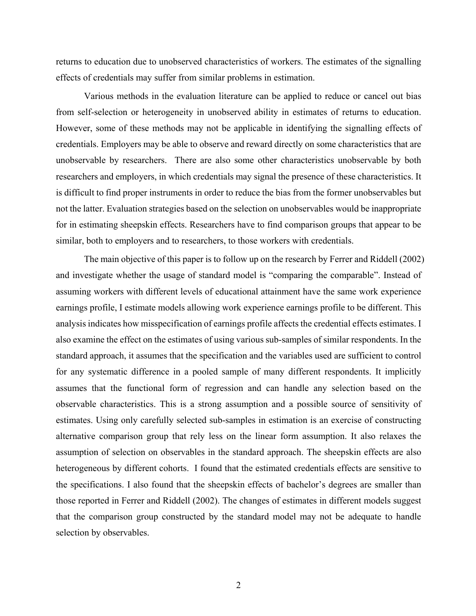returns to education due to unobserved characteristics of workers. The estimates of the signalling effects of credentials may suffer from similar problems in estimation.

Various methods in the evaluation literature can be applied to reduce or cancel out bias from self-selection or heterogeneity in unobserved ability in estimates of returns to education. However, some of these methods may not be applicable in identifying the signalling effects of credentials. Employers may be able to observe and reward directly on some characteristics that are unobservable by researchers. There are also some other characteristics unobservable by both researchers and employers, in which credentials may signal the presence of these characteristics. It is difficult to find proper instruments in order to reduce the bias from the former unobservables but not the latter. Evaluation strategies based on the selection on unobservables would be inappropriate for in estimating sheepskin effects. Researchers have to find comparison groups that appear to be similar, both to employers and to researchers, to those workers with credentials.

The main objective of this paper is to follow up on the research by Ferrer and Riddell (2002) and investigate whether the usage of standard model is "comparing the comparable". Instead of assuming workers with different levels of educational attainment have the same work experience earnings profile, I estimate models allowing work experience earnings profile to be different. This analysis indicates how misspecification of earnings profile affects the credential effects estimates. I also examine the effect on the estimates of using various sub-samples of similar respondents. In the standard approach, it assumes that the specification and the variables used are sufficient to control for any systematic difference in a pooled sample of many different respondents. It implicitly assumes that the functional form of regression and can handle any selection based on the observable characteristics. This is a strong assumption and a possible source of sensitivity of estimates. Using only carefully selected sub-samples in estimation is an exercise of constructing alternative comparison group that rely less on the linear form assumption. It also relaxes the assumption of selection on observables in the standard approach. The sheepskin effects are also heterogeneous by different cohorts. I found that the estimated credentials effects are sensitive to the specifications. I also found that the sheepskin effects of bachelor's degrees are smaller than those reported in Ferrer and Riddell (2002). The changes of estimates in different models suggest that the comparison group constructed by the standard model may not be adequate to handle selection by observables.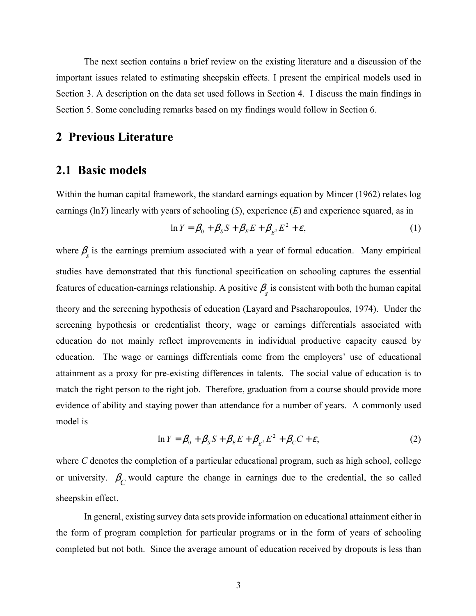The next section contains a brief review on the existing literature and a discussion of the important issues related to estimating sheepskin effects. I present the empirical models used in Section 3. A description on the data set used follows in Section 4. I discuss the main findings in Section 5. Some concluding remarks based on my findings would follow in Section 6.

## **2 Previous Literature**

## **2.1 Basic models**

Within the human capital framework, the standard earnings equation by Mincer (1962) relates log earnings (ln*Y*) linearly with years of schooling (*S*), experience (*E*) and experience squared, as in

$$
\ln Y = \beta_0 + \beta_S S + \beta_E E + \beta_{E^2} E^2 + \varepsilon, \tag{1}
$$

where  $\beta_{s}$  is the earnings premium associated with a year of formal education. Many empirical studies have demonstrated that this functional specification on schooling captures the essential features of education-earnings relationship. A positive  $\beta_{s}$  is consistent with both the human capital theory and the screening hypothesis of education (Layard and Psacharopoulos, 1974). Under the screening hypothesis or credentialist theory, wage or earnings differentials associated with education do not mainly reflect improvements in individual productive capacity caused by education. The wage or earnings differentials come from the employers' use of educational attainment as a proxy for pre-existing differences in talents. The social value of education is to match the right person to the right job. Therefore, graduation from a course should provide more evidence of ability and staying power than attendance for a number of years. A commonly used model is

$$
\ln Y = \beta_0 + \beta_S S + \beta_E E + \beta_{E^2} E^2 + \beta_C C + \varepsilon,\tag{2}
$$

where *C* denotes the completion of a particular educational program, such as high school, college or university.  $\beta_C$  would capture the change in earnings due to the credential, the so called sheepskin effect.

In general, existing survey data sets provide information on educational attainment either in the form of program completion for particular programs or in the form of years of schooling completed but not both. Since the average amount of education received by dropouts is less than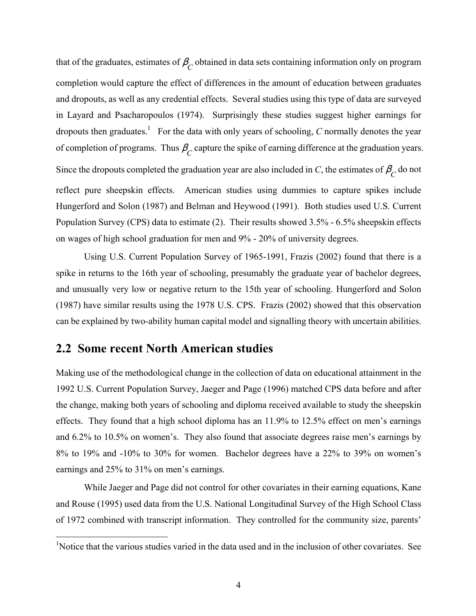that of the graduates, estimates of  $\beta_C^{\phantom{\dagger}}$  obtained in data sets containing information only on program completion would capture the effect of differences in the amount of education between graduates and dropouts, as well as any credential effects. Several studies using this type of data are surveyed in Layard and Psacharopoulos (1974). Surprisingly these studies suggest higher earnings for dropouts then graduates.<sup>1</sup> For the data with only years of schooling, *C* normally denotes the year of completion of programs. Thus  $\beta_C^{\prime}$  capture the spike of earning difference at the graduation years. Since the dropouts completed the graduation year are also included in *C*, the estimates of  $\beta_C$  do not reflect pure sheepskin effects. American studies using dummies to capture spikes include Hungerford and Solon (1987) and Belman and Heywood (1991). Both studies used U.S. Current Population Survey (CPS) data to estimate (2). Their results showed 3.5% - 6.5% sheepskin effects on wages of high school graduation for men and 9% - 20% of university degrees.

Using U.S. Current Population Survey of 1965-1991, Frazis (2002) found that there is a spike in returns to the 16th year of schooling, presumably the graduate year of bachelor degrees, and unusually very low or negative return to the 15th year of schooling. Hungerford and Solon (1987) have similar results using the 1978 U.S. CPS. Frazis (2002) showed that this observation can be explained by two-ability human capital model and signalling theory with uncertain abilities.

## **2.2 Some recent North American studies**

 $\overline{a}$ 

Making use of the methodological change in the collection of data on educational attainment in the 1992 U.S. Current Population Survey, Jaeger and Page (1996) matched CPS data before and after the change, making both years of schooling and diploma received available to study the sheepskin effects. They found that a high school diploma has an 11.9% to 12.5% effect on men's earnings and 6.2% to 10.5% on women's. They also found that associate degrees raise men's earnings by 8% to 19% and -10% to 30% for women. Bachelor degrees have a 22% to 39% on women's earnings and 25% to 31% on men's earnings.

While Jaeger and Page did not control for other covariates in their earning equations, Kane and Rouse (1995) used data from the U.S. National Longitudinal Survey of the High School Class of 1972 combined with transcript information. They controlled for the community size, parents'

<sup>&</sup>lt;sup>1</sup>Notice that the various studies varied in the data used and in the inclusion of other covariates. See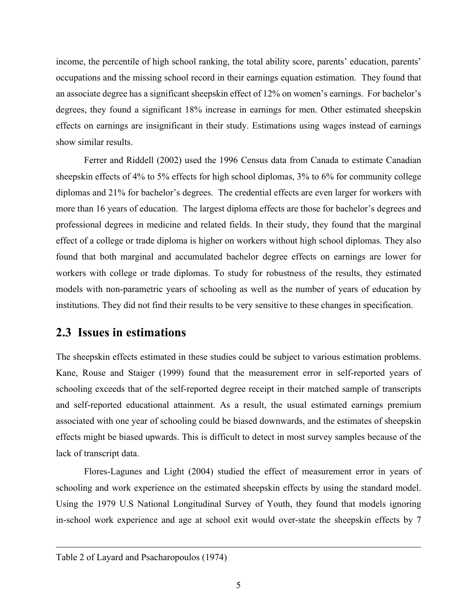income, the percentile of high school ranking, the total ability score, parents' education, parents' occupations and the missing school record in their earnings equation estimation. They found that an associate degree has a significant sheepskin effect of 12% on women's earnings. For bachelor's degrees, they found a significant 18% increase in earnings for men. Other estimated sheepskin effects on earnings are insignificant in their study. Estimations using wages instead of earnings show similar results.

Ferrer and Riddell (2002) used the 1996 Census data from Canada to estimate Canadian sheepskin effects of 4% to 5% effects for high school diplomas, 3% to 6% for community college diplomas and 21% for bachelor's degrees. The credential effects are even larger for workers with more than 16 years of education. The largest diploma effects are those for bachelor's degrees and professional degrees in medicine and related fields. In their study, they found that the marginal effect of a college or trade diploma is higher on workers without high school diplomas. They also found that both marginal and accumulated bachelor degree effects on earnings are lower for workers with college or trade diplomas. To study for robustness of the results, they estimated models with non-parametric years of schooling as well as the number of years of education by institutions. They did not find their results to be very sensitive to these changes in specification.

## **2.3 Issues in estimations**

The sheepskin effects estimated in these studies could be subject to various estimation problems. Kane, Rouse and Staiger (1999) found that the measurement error in self-reported years of schooling exceeds that of the self-reported degree receipt in their matched sample of transcripts and self-reported educational attainment. As a result, the usual estimated earnings premium associated with one year of schooling could be biased downwards, and the estimates of sheepskin effects might be biased upwards. This is difficult to detect in most survey samples because of the lack of transcript data.

Flores-Lagunes and Light (2004) studied the effect of measurement error in years of schooling and work experience on the estimated sheepskin effects by using the standard model. Using the 1979 U.S National Longitudinal Survey of Youth, they found that models ignoring in-school work experience and age at school exit would over-state the sheepskin effects by 7

-

Table 2 of Layard and Psacharopoulos (1974)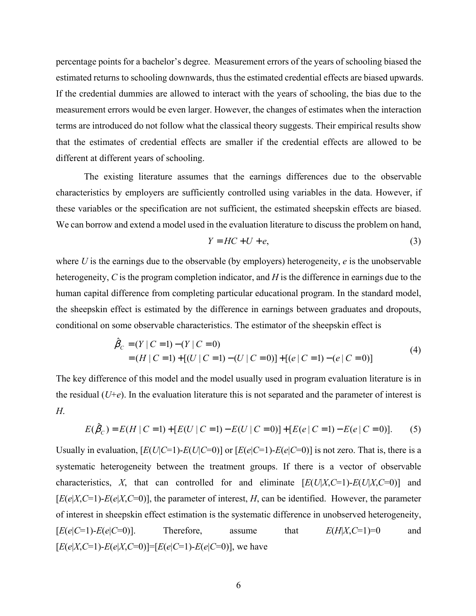percentage points for a bachelor's degree. Measurement errors of the years of schooling biased the estimated returns to schooling downwards, thus the estimated credential effects are biased upwards. If the credential dummies are allowed to interact with the years of schooling, the bias due to the measurement errors would be even larger. However, the changes of estimates when the interaction terms are introduced do not follow what the classical theory suggests. Their empirical results show that the estimates of credential effects are smaller if the credential effects are allowed to be different at different years of schooling.

The existing literature assumes that the earnings differences due to the observable characteristics by employers are sufficiently controlled using variables in the data. However, if these variables or the specification are not sufficient, the estimated sheepskin effects are biased. We can borrow and extend a model used in the evaluation literature to discuss the problem on hand,

$$
Y = HC + U + e,\tag{3}
$$

where *U* is the earnings due to the observable (by employers) heterogeneity, *e* is the unobservable heterogeneity, *C* is the program completion indicator, and *H* is the difference in earnings due to the human capital difference from completing particular educational program. In the standard model, the sheepskin effect is estimated by the difference in earnings between graduates and dropouts, conditional on some observable characteristics. The estimator of the sheepskin effect is

$$
\hat{\beta}_C = (Y | C = 1) - (Y | C = 0) \n= (H | C = 1) + [(U | C = 1) - (U | C = 0)] + [(e | C = 1) - (e | C = 0)]
$$
\n(4)

The key difference of this model and the model usually used in program evaluation literature is in the residual  $(U+e)$ . In the evaluation literature this is not separated and the parameter of interest is *H*.

$$
E(\hat{\beta}_C) = E(H \mid C=1) + [E(U \mid C=1) - E(U \mid C=0)] + [E(e \mid C=1) - E(e \mid C=0)].
$$
 (5)

Usually in evaluation,  $[E(U|C=1)-E(U|C=0)]$  or  $[E(e|C=1)-E(e|C=0)]$  is not zero. That is, there is a systematic heterogeneity between the treatment groups. If there is a vector of observable characteristics, *X*, that can controlled for and eliminate  $[E(U|X,C=1)-E(U|X,C=0)]$  and  $[E(e|X,C=1)-E(e|X,C=0)]$ , the parameter of interest, *H*, can be identified. However, the parameter of interest in sheepskin effect estimation is the systematic difference in unobserved heterogeneity,  $[E(e|C=1)-E(e|C=0)].$  Therefore, assume that  $E(H|X,C=1)=0$  and  $[E(e|X, C=1) - E(e|X, C=0)] = [E(e|C=1) - E(e|C=0)]$ , we have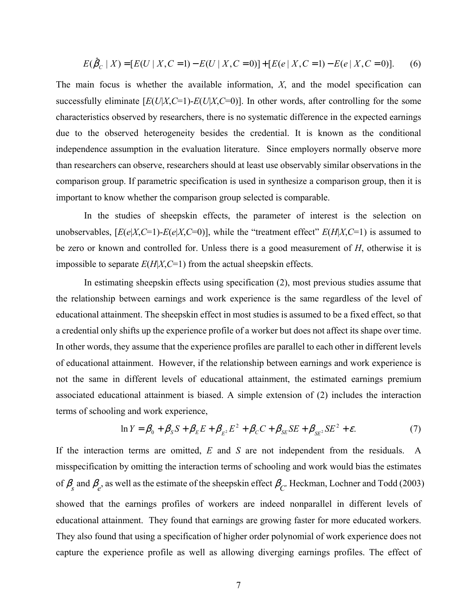$$
E(\hat{\beta}_C | X) = [E(U | X, C = 1) - E(U | X, C = 0)] + [E(e | X, C = 1) - E(e | X, C = 0)].
$$
 (6)

The main focus is whether the available information, *X*, and the model specification can successfully eliminate  $[E(U|X, C=1) - E(U|X, C=0)]$ . In other words, after controlling for the some characteristics observed by researchers, there is no systematic difference in the expected earnings due to the observed heterogeneity besides the credential. It is known as the conditional independence assumption in the evaluation literature. Since employers normally observe more than researchers can observe, researchers should at least use observably similar observations in the comparison group. If parametric specification is used in synthesize a comparison group, then it is important to know whether the comparison group selected is comparable.

In the studies of sheepskin effects, the parameter of interest is the selection on unobservables,  $[E(e|X, C=1) - E(e|X, C=0)]$ , while the "treatment effect"  $E(H|X, C=1)$  is assumed to be zero or known and controlled for. Unless there is a good measurement of *H*, otherwise it is impossible to separate *E*(*H*|*X*,*C*=1) from the actual sheepskin effects.

In estimating sheepskin effects using specification (2), most previous studies assume that the relationship between earnings and work experience is the same regardless of the level of educational attainment. The sheepskin effect in most studies is assumed to be a fixed effect, so that a credential only shifts up the experience profile of a worker but does not affect its shape over time. In other words, they assume that the experience profiles are parallel to each other in different levels of educational attainment. However, if the relationship between earnings and work experience is not the same in different levels of educational attainment, the estimated earnings premium associated educational attainment is biased. A simple extension of (2) includes the interaction terms of schooling and work experience,

$$
\ln Y = \beta_0 + \beta_S S + \beta_E E + \beta_{E^2} E^2 + \beta_C C + \beta_{SE} SE + \beta_{SE^2} SE^2 + \varepsilon. \tag{7}
$$

If the interaction terms are omitted, *E* and *S* are not independent from the residuals. A misspecification by omitting the interaction terms of schooling and work would bias the estimates of  $\beta_s$  and  $\beta_e$ , as well as the estimate of the sheepskin effect  $\beta_c$ . Heckman, Lochner and Todd (2003) showed that the earnings profiles of workers are indeed nonparallel in different levels of educational attainment. They found that earnings are growing faster for more educated workers. They also found that using a specification of higher order polynomial of work experience does not capture the experience profile as well as allowing diverging earnings profiles. The effect of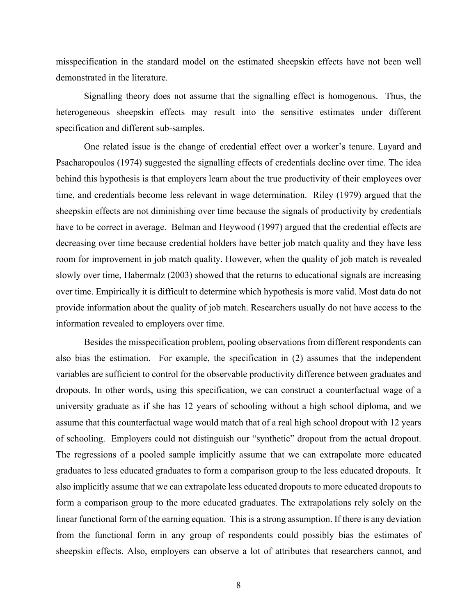misspecification in the standard model on the estimated sheepskin effects have not been well demonstrated in the literature.

Signalling theory does not assume that the signalling effect is homogenous. Thus, the heterogeneous sheepskin effects may result into the sensitive estimates under different specification and different sub-samples.

One related issue is the change of credential effect over a worker's tenure. Layard and Psacharopoulos (1974) suggested the signalling effects of credentials decline over time. The idea behind this hypothesis is that employers learn about the true productivity of their employees over time, and credentials become less relevant in wage determination. Riley (1979) argued that the sheepskin effects are not diminishing over time because the signals of productivity by credentials have to be correct in average. Belman and Heywood (1997) argued that the credential effects are decreasing over time because credential holders have better job match quality and they have less room for improvement in job match quality. However, when the quality of job match is revealed slowly over time, Habermalz (2003) showed that the returns to educational signals are increasing over time. Empirically it is difficult to determine which hypothesis is more valid. Most data do not provide information about the quality of job match. Researchers usually do not have access to the information revealed to employers over time.

Besides the misspecification problem, pooling observations from different respondents can also bias the estimation. For example, the specification in (2) assumes that the independent variables are sufficient to control for the observable productivity difference between graduates and dropouts. In other words, using this specification, we can construct a counterfactual wage of a university graduate as if she has 12 years of schooling without a high school diploma, and we assume that this counterfactual wage would match that of a real high school dropout with 12 years of schooling. Employers could not distinguish our "synthetic" dropout from the actual dropout. The regressions of a pooled sample implicitly assume that we can extrapolate more educated graduates to less educated graduates to form a comparison group to the less educated dropouts. It also implicitly assume that we can extrapolate less educated dropouts to more educated dropouts to form a comparison group to the more educated graduates. The extrapolations rely solely on the linear functional form of the earning equation. This is a strong assumption. If there is any deviation from the functional form in any group of respondents could possibly bias the estimates of sheepskin effects. Also, employers can observe a lot of attributes that researchers cannot, and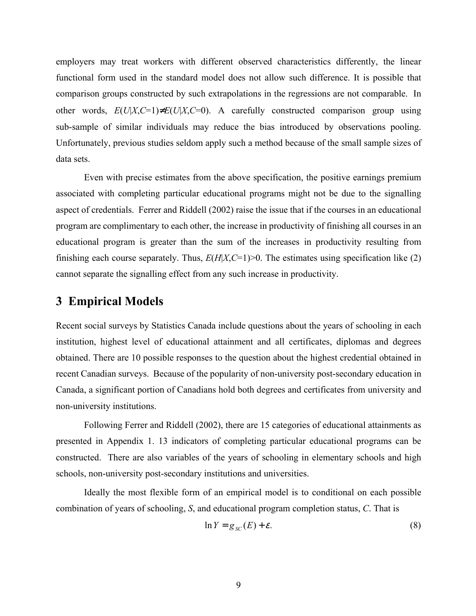employers may treat workers with different observed characteristics differently, the linear functional form used in the standard model does not allow such difference. It is possible that comparison groups constructed by such extrapolations in the regressions are not comparable. In other words,  $E(U|X,C=1) \neq E(U|X,C=0)$ . A carefully constructed comparison group using sub-sample of similar individuals may reduce the bias introduced by observations pooling. Unfortunately, previous studies seldom apply such a method because of the small sample sizes of data sets.

Even with precise estimates from the above specification, the positive earnings premium associated with completing particular educational programs might not be due to the signalling aspect of credentials. Ferrer and Riddell (2002) raise the issue that if the courses in an educational program are complimentary to each other, the increase in productivity of finishing all courses in an educational program is greater than the sum of the increases in productivity resulting from finishing each course separately. Thus,  $E(H|X,C=1)$  > 0. The estimates using specification like (2) cannot separate the signalling effect from any such increase in productivity.

## **3 Empirical Models**

Recent social surveys by Statistics Canada include questions about the years of schooling in each institution, highest level of educational attainment and all certificates, diplomas and degrees obtained. There are 10 possible responses to the question about the highest credential obtained in recent Canadian surveys. Because of the popularity of non-university post-secondary education in Canada, a significant portion of Canadians hold both degrees and certificates from university and non-university institutions.

Following Ferrer and Riddell (2002), there are 15 categories of educational attainments as presented in Appendix 1. 13 indicators of completing particular educational programs can be constructed. There are also variables of the years of schooling in elementary schools and high schools, non-university post-secondary institutions and universities.

Ideally the most flexible form of an empirical model is to conditional on each possible combination of years of schooling, *S*, and educational program completion status, *C*. That is

$$
\ln Y = g_{SC}(E) + \varepsilon. \tag{8}
$$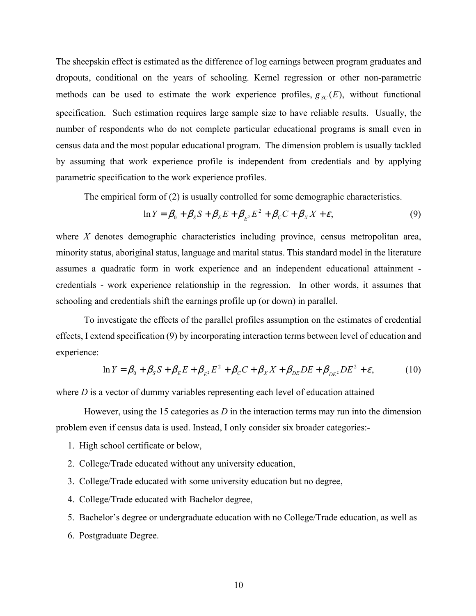The sheepskin effect is estimated as the difference of log earnings between program graduates and dropouts, conditional on the years of schooling. Kernel regression or other non-parametric methods can be used to estimate the work experience profiles,  $g_{\rm SC}(E)$ , without functional specification. Such estimation requires large sample size to have reliable results. Usually, the number of respondents who do not complete particular educational programs is small even in census data and the most popular educational program. The dimension problem is usually tackled by assuming that work experience profile is independent from credentials and by applying parametric specification to the work experience profiles.

The empirical form of (2) is usually controlled for some demographic characteristics.

$$
\ln Y = \beta_0 + \beta_S S + \beta_E E + \beta_{E^2} E^2 + \beta_C C + \beta_X X + \varepsilon,
$$
\n(9)

where *X* denotes demographic characteristics including province, census metropolitan area, minority status, aboriginal status, language and marital status. This standard model in the literature assumes a quadratic form in work experience and an independent educational attainment credentials - work experience relationship in the regression. In other words, it assumes that schooling and credentials shift the earnings profile up (or down) in parallel.

To investigate the effects of the parallel profiles assumption on the estimates of credential effects, I extend specification (9) by incorporating interaction terms between level of education and experience:

$$
\ln Y = \beta_0 + \beta_S S + \beta_E E + \beta_{E^2} E^2 + \beta_C C + \beta_X X + \beta_{DE} DE + \beta_{DE^2} DE^2 + \varepsilon, \tag{10}
$$

where *D* is a vector of dummy variables representing each level of education attained

However, using the 15 categories as *D* in the interaction terms may run into the dimension problem even if census data is used. Instead, I only consider six broader categories:-

- 1. High school certificate or below,
- 2. College/Trade educated without any university education,
- 3. College/Trade educated with some university education but no degree,
- 4. College/Trade educated with Bachelor degree,
- 5. Bachelor's degree or undergraduate education with no College/Trade education, as well as
- 6. Postgraduate Degree.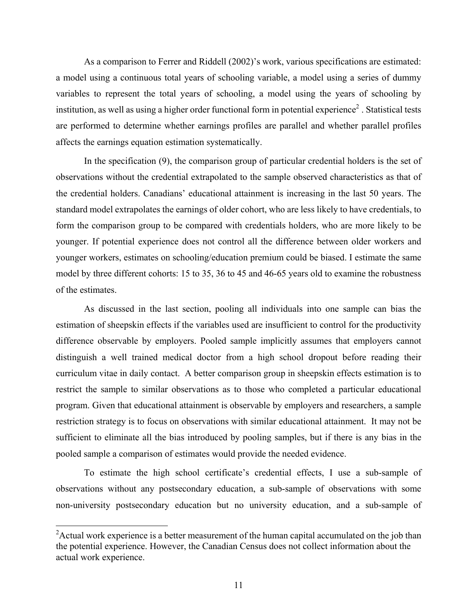As a comparison to Ferrer and Riddell (2002)'s work, various specifications are estimated: a model using a continuous total years of schooling variable, a model using a series of dummy variables to represent the total years of schooling, a model using the years of schooling by institution, as well as using a higher order functional form in potential experience<sup>2</sup>. Statistical tests are performed to determine whether earnings profiles are parallel and whether parallel profiles affects the earnings equation estimation systematically.

In the specification (9), the comparison group of particular credential holders is the set of observations without the credential extrapolated to the sample observed characteristics as that of the credential holders. Canadians' educational attainment is increasing in the last 50 years. The standard model extrapolates the earnings of older cohort, who are less likely to have credentials, to form the comparison group to be compared with credentials holders, who are more likely to be younger. If potential experience does not control all the difference between older workers and younger workers, estimates on schooling/education premium could be biased. I estimate the same model by three different cohorts: 15 to 35, 36 to 45 and 46-65 years old to examine the robustness of the estimates.

As discussed in the last section, pooling all individuals into one sample can bias the estimation of sheepskin effects if the variables used are insufficient to control for the productivity difference observable by employers. Pooled sample implicitly assumes that employers cannot distinguish a well trained medical doctor from a high school dropout before reading their curriculum vitae in daily contact. A better comparison group in sheepskin effects estimation is to restrict the sample to similar observations as to those who completed a particular educational program. Given that educational attainment is observable by employers and researchers, a sample restriction strategy is to focus on observations with similar educational attainment. It may not be sufficient to eliminate all the bias introduced by pooling samples, but if there is any bias in the pooled sample a comparison of estimates would provide the needed evidence.

To estimate the high school certificate's credential effects, I use a sub-sample of observations without any postsecondary education, a sub-sample of observations with some non-university postsecondary education but no university education, and a sub-sample of

 $\overline{a}$ 

<sup>&</sup>lt;sup>2</sup> Actual work experience is a better measurement of the human capital accumulated on the job than the potential experience. However, the Canadian Census does not collect information about the actual work experience.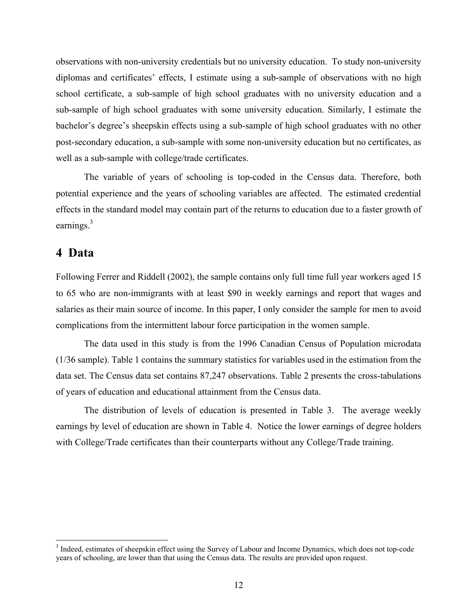observations with non-university credentials but no university education. To study non-university diplomas and certificates' effects, I estimate using a sub-sample of observations with no high school certificate, a sub-sample of high school graduates with no university education and a sub-sample of high school graduates with some university education. Similarly, I estimate the bachelor's degree's sheepskin effects using a sub-sample of high school graduates with no other post-secondary education, a sub-sample with some non-university education but no certificates, as well as a sub-sample with college/trade certificates.

The variable of years of schooling is top-coded in the Census data. Therefore, both potential experience and the years of schooling variables are affected. The estimated credential effects in the standard model may contain part of the returns to education due to a faster growth of earnings. $3$ 

### **4 Data**

<u>.</u>

Following Ferrer and Riddell (2002), the sample contains only full time full year workers aged 15 to 65 who are non-immigrants with at least \$90 in weekly earnings and report that wages and salaries as their main source of income. In this paper, I only consider the sample for men to avoid complications from the intermittent labour force participation in the women sample.

The data used in this study is from the 1996 Canadian Census of Population microdata (1/36 sample). Table 1 contains the summary statistics for variables used in the estimation from the data set. The Census data set contains 87,247 observations. Table 2 presents the cross-tabulations of years of education and educational attainment from the Census data.

The distribution of levels of education is presented in Table 3. The average weekly earnings by level of education are shown in Table 4. Notice the lower earnings of degree holders with College/Trade certificates than their counterparts without any College/Trade training.

<sup>&</sup>lt;sup>3</sup> Indeed, estimates of sheepskin effect using the Survey of Labour and Income Dynamics, which does not top-code years of schooling, are lower than that using the Census data. The results are provided upon request.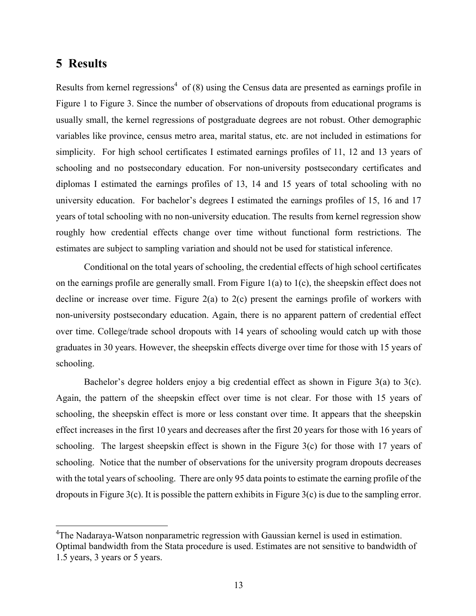## **5 Results**

<u>.</u>

Results from kernel regressions<sup>4</sup> of  $(8)$  using the Census data are presented as earnings profile in Figure 1 to Figure 3. Since the number of observations of dropouts from educational programs is usually small, the kernel regressions of postgraduate degrees are not robust. Other demographic variables like province, census metro area, marital status, etc. are not included in estimations for simplicity. For high school certificates I estimated earnings profiles of 11, 12 and 13 years of schooling and no postsecondary education. For non-university postsecondary certificates and diplomas I estimated the earnings profiles of 13, 14 and 15 years of total schooling with no university education. For bachelor's degrees I estimated the earnings profiles of 15, 16 and 17 years of total schooling with no non-university education. The results from kernel regression show roughly how credential effects change over time without functional form restrictions. The estimates are subject to sampling variation and should not be used for statistical inference.

Conditional on the total years of schooling, the credential effects of high school certificates on the earnings profile are generally small. From Figure  $1(a)$  to  $1(c)$ , the sheepskin effect does not decline or increase over time. Figure 2(a) to 2(c) present the earnings profile of workers with non-university postsecondary education. Again, there is no apparent pattern of credential effect over time. College/trade school dropouts with 14 years of schooling would catch up with those graduates in 30 years. However, the sheepskin effects diverge over time for those with 15 years of schooling.

Bachelor's degree holders enjoy a big credential effect as shown in Figure 3(a) to 3(c). Again, the pattern of the sheepskin effect over time is not clear. For those with 15 years of schooling, the sheepskin effect is more or less constant over time. It appears that the sheepskin effect increases in the first 10 years and decreases after the first 20 years for those with 16 years of schooling. The largest sheepskin effect is shown in the Figure 3(c) for those with 17 years of schooling. Notice that the number of observations for the university program dropouts decreases with the total years of schooling. There are only 95 data points to estimate the earning profile of the dropouts in Figure 3(c). It is possible the pattern exhibits in Figure 3(c) is due to the sampling error.

<sup>&</sup>lt;sup>4</sup>The Nadaraya-Watson nonparametric regression with Gaussian kernel is used in estimation. Optimal bandwidth from the Stata procedure is used. Estimates are not sensitive to bandwidth of 1.5 years, 3 years or 5 years.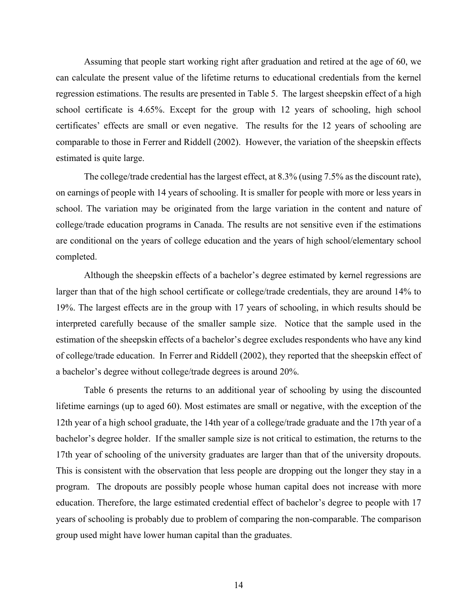Assuming that people start working right after graduation and retired at the age of 60, we can calculate the present value of the lifetime returns to educational credentials from the kernel regression estimations. The results are presented in Table 5. The largest sheepskin effect of a high school certificate is 4.65%. Except for the group with 12 years of schooling, high school certificates' effects are small or even negative. The results for the 12 years of schooling are comparable to those in Ferrer and Riddell (2002). However, the variation of the sheepskin effects estimated is quite large.

The college/trade credential has the largest effect, at 8.3% (using 7.5% as the discount rate), on earnings of people with 14 years of schooling. It is smaller for people with more or less years in school. The variation may be originated from the large variation in the content and nature of college/trade education programs in Canada. The results are not sensitive even if the estimations are conditional on the years of college education and the years of high school/elementary school completed.

Although the sheepskin effects of a bachelor's degree estimated by kernel regressions are larger than that of the high school certificate or college/trade credentials, they are around 14% to 19%. The largest effects are in the group with 17 years of schooling, in which results should be interpreted carefully because of the smaller sample size. Notice that the sample used in the estimation of the sheepskin effects of a bachelor's degree excludes respondents who have any kind of college/trade education. In Ferrer and Riddell (2002), they reported that the sheepskin effect of a bachelor's degree without college/trade degrees is around 20%.

Table 6 presents the returns to an additional year of schooling by using the discounted lifetime earnings (up to aged 60). Most estimates are small or negative, with the exception of the 12th year of a high school graduate, the 14th year of a college/trade graduate and the 17th year of a bachelor's degree holder. If the smaller sample size is not critical to estimation, the returns to the 17th year of schooling of the university graduates are larger than that of the university dropouts. This is consistent with the observation that less people are dropping out the longer they stay in a program. The dropouts are possibly people whose human capital does not increase with more education. Therefore, the large estimated credential effect of bachelor's degree to people with 17 years of schooling is probably due to problem of comparing the non-comparable. The comparison group used might have lower human capital than the graduates.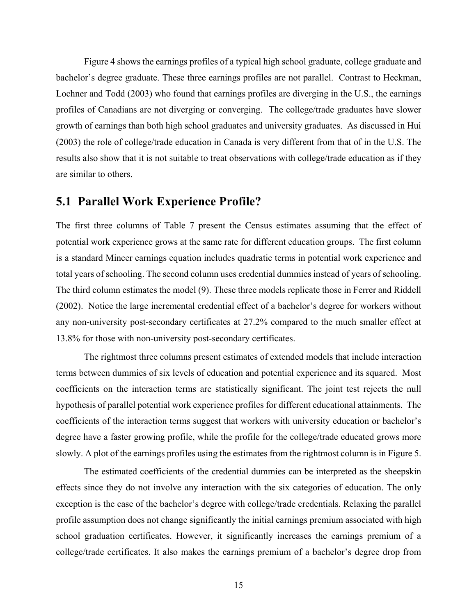Figure 4 shows the earnings profiles of a typical high school graduate, college graduate and bachelor's degree graduate. These three earnings profiles are not parallel. Contrast to Heckman, Lochner and Todd (2003) who found that earnings profiles are diverging in the U.S., the earnings profiles of Canadians are not diverging or converging. The college/trade graduates have slower growth of earnings than both high school graduates and university graduates. As discussed in Hui (2003) the role of college/trade education in Canada is very different from that of in the U.S. The results also show that it is not suitable to treat observations with college/trade education as if they are similar to others.

## **5.1 Parallel Work Experience Profile?**

The first three columns of Table 7 present the Census estimates assuming that the effect of potential work experience grows at the same rate for different education groups. The first column is a standard Mincer earnings equation includes quadratic terms in potential work experience and total years of schooling. The second column uses credential dummies instead of years of schooling. The third column estimates the model (9). These three models replicate those in Ferrer and Riddell (2002). Notice the large incremental credential effect of a bachelor's degree for workers without any non-university post-secondary certificates at 27.2% compared to the much smaller effect at 13.8% for those with non-university post-secondary certificates.

The rightmost three columns present estimates of extended models that include interaction terms between dummies of six levels of education and potential experience and its squared. Most coefficients on the interaction terms are statistically significant. The joint test rejects the null hypothesis of parallel potential work experience profiles for different educational attainments. The coefficients of the interaction terms suggest that workers with university education or bachelor's degree have a faster growing profile, while the profile for the college/trade educated grows more slowly. A plot of the earnings profiles using the estimates from the rightmost column is in Figure 5.

The estimated coefficients of the credential dummies can be interpreted as the sheepskin effects since they do not involve any interaction with the six categories of education. The only exception is the case of the bachelor's degree with college/trade credentials. Relaxing the parallel profile assumption does not change significantly the initial earnings premium associated with high school graduation certificates. However, it significantly increases the earnings premium of a college/trade certificates. It also makes the earnings premium of a bachelor's degree drop from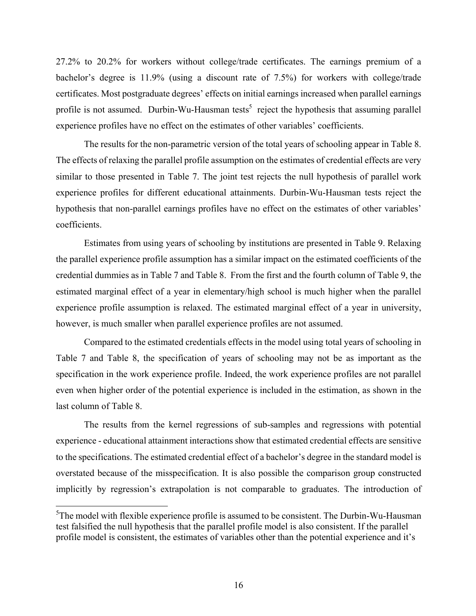27.2% to 20.2% for workers without college/trade certificates. The earnings premium of a bachelor's degree is 11.9% (using a discount rate of 7.5%) for workers with college/trade certificates. Most postgraduate degrees' effects on initial earnings increased when parallel earnings profile is not assumed. Durbin-Wu-Hausman tests<sup>5</sup> reject the hypothesis that assuming parallel experience profiles have no effect on the estimates of other variables' coefficients.

The results for the non-parametric version of the total years of schooling appear in Table 8. The effects of relaxing the parallel profile assumption on the estimates of credential effects are very similar to those presented in Table 7. The joint test rejects the null hypothesis of parallel work experience profiles for different educational attainments. Durbin-Wu-Hausman tests reject the hypothesis that non-parallel earnings profiles have no effect on the estimates of other variables' coefficients.

Estimates from using years of schooling by institutions are presented in Table 9. Relaxing the parallel experience profile assumption has a similar impact on the estimated coefficients of the credential dummies as in Table 7 and Table 8. From the first and the fourth column of Table 9, the estimated marginal effect of a year in elementary/high school is much higher when the parallel experience profile assumption is relaxed. The estimated marginal effect of a year in university, however, is much smaller when parallel experience profiles are not assumed.

Compared to the estimated credentials effects in the model using total years of schooling in Table 7 and Table 8, the specification of years of schooling may not be as important as the specification in the work experience profile. Indeed, the work experience profiles are not parallel even when higher order of the potential experience is included in the estimation, as shown in the last column of Table 8.

The results from the kernel regressions of sub-samples and regressions with potential experience - educational attainment interactions show that estimated credential effects are sensitive to the specifications. The estimated credential effect of a bachelor's degree in the standard model is overstated because of the misspecification. It is also possible the comparison group constructed implicitly by regression's extrapolation is not comparable to graduates. The introduction of

<u>.</u>

 $5$ The model with flexible experience profile is assumed to be consistent. The Durbin-Wu-Hausman test falsified the null hypothesis that the parallel profile model is also consistent. If the parallel profile model is consistent, the estimates of variables other than the potential experience and it's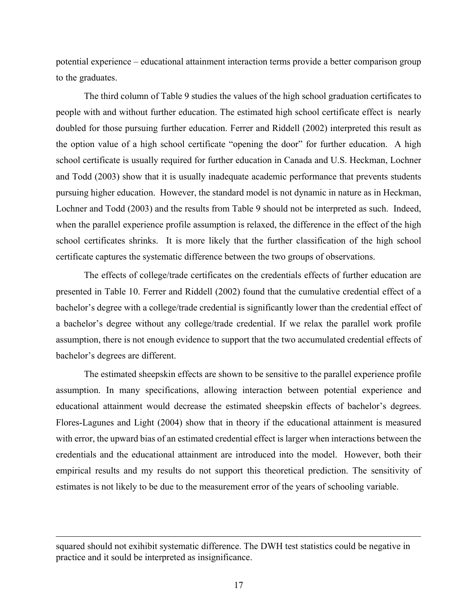potential experience – educational attainment interaction terms provide a better comparison group to the graduates.

The third column of Table 9 studies the values of the high school graduation certificates to people with and without further education. The estimated high school certificate effect is nearly doubled for those pursuing further education. Ferrer and Riddell (2002) interpreted this result as the option value of a high school certificate "opening the door" for further education. A high school certificate is usually required for further education in Canada and U.S. Heckman, Lochner and Todd (2003) show that it is usually inadequate academic performance that prevents students pursuing higher education. However, the standard model is not dynamic in nature as in Heckman, Lochner and Todd (2003) and the results from Table 9 should not be interpreted as such. Indeed, when the parallel experience profile assumption is relaxed, the difference in the effect of the high school certificates shrinks. It is more likely that the further classification of the high school certificate captures the systematic difference between the two groups of observations.

The effects of college/trade certificates on the credentials effects of further education are presented in Table 10. Ferrer and Riddell (2002) found that the cumulative credential effect of a bachelor's degree with a college/trade credential is significantly lower than the credential effect of a bachelor's degree without any college/trade credential. If we relax the parallel work profile assumption, there is not enough evidence to support that the two accumulated credential effects of bachelor's degrees are different.

The estimated sheepskin effects are shown to be sensitive to the parallel experience profile assumption. In many specifications, allowing interaction between potential experience and educational attainment would decrease the estimated sheepskin effects of bachelor's degrees. Flores-Lagunes and Light (2004) show that in theory if the educational attainment is measured with error, the upward bias of an estimated credential effect is larger when interactions between the credentials and the educational attainment are introduced into the model. However, both their empirical results and my results do not support this theoretical prediction. The sensitivity of estimates is not likely to be due to the measurement error of the years of schooling variable.

<u>.</u>

squared should not exihibit systematic difference. The DWH test statistics could be negative in practice and it sould be interpreted as insignificance.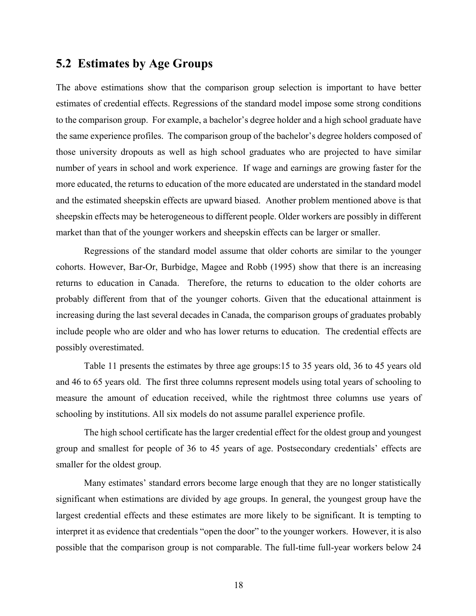## **5.2 Estimates by Age Groups**

The above estimations show that the comparison group selection is important to have better estimates of credential effects. Regressions of the standard model impose some strong conditions to the comparison group. For example, a bachelor's degree holder and a high school graduate have the same experience profiles. The comparison group of the bachelor's degree holders composed of those university dropouts as well as high school graduates who are projected to have similar number of years in school and work experience. If wage and earnings are growing faster for the more educated, the returns to education of the more educated are understated in the standard model and the estimated sheepskin effects are upward biased. Another problem mentioned above is that sheepskin effects may be heterogeneous to different people. Older workers are possibly in different market than that of the younger workers and sheepskin effects can be larger or smaller.

Regressions of the standard model assume that older cohorts are similar to the younger cohorts. However, Bar-Or, Burbidge, Magee and Robb (1995) show that there is an increasing returns to education in Canada. Therefore, the returns to education to the older cohorts are probably different from that of the younger cohorts. Given that the educational attainment is increasing during the last several decades in Canada, the comparison groups of graduates probably include people who are older and who has lower returns to education. The credential effects are possibly overestimated.

Table 11 presents the estimates by three age groups:15 to 35 years old, 36 to 45 years old and 46 to 65 years old. The first three columns represent models using total years of schooling to measure the amount of education received, while the rightmost three columns use years of schooling by institutions. All six models do not assume parallel experience profile.

The high school certificate has the larger credential effect for the oldest group and youngest group and smallest for people of 36 to 45 years of age. Postsecondary credentials' effects are smaller for the oldest group.

Many estimates' standard errors become large enough that they are no longer statistically significant when estimations are divided by age groups. In general, the youngest group have the largest credential effects and these estimates are more likely to be significant. It is tempting to interpret it as evidence that credentials "open the door" to the younger workers. However, it is also possible that the comparison group is not comparable. The full-time full-year workers below 24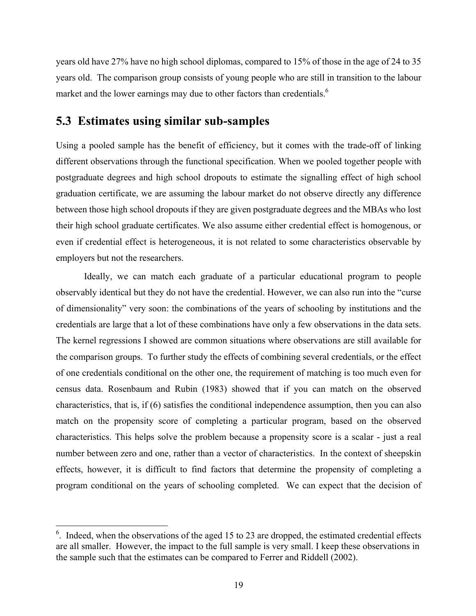years old have 27% have no high school diplomas, compared to 15% of those in the age of 24 to 35 years old. The comparison group consists of young people who are still in transition to the labour market and the lower earnings may due to other factors than credentials.<sup>6</sup>

## **5.3 Estimates using similar sub-samples**

Using a pooled sample has the benefit of efficiency, but it comes with the trade-off of linking different observations through the functional specification. When we pooled together people with postgraduate degrees and high school dropouts to estimate the signalling effect of high school graduation certificate, we are assuming the labour market do not observe directly any difference between those high school dropouts if they are given postgraduate degrees and the MBAs who lost their high school graduate certificates. We also assume either credential effect is homogenous, or even if credential effect is heterogeneous, it is not related to some characteristics observable by employers but not the researchers.

Ideally, we can match each graduate of a particular educational program to people observably identical but they do not have the credential. However, we can also run into the "curse of dimensionality" very soon: the combinations of the years of schooling by institutions and the credentials are large that a lot of these combinations have only a few observations in the data sets. The kernel regressions I showed are common situations where observations are still available for the comparison groups. To further study the effects of combining several credentials, or the effect of one credentials conditional on the other one, the requirement of matching is too much even for census data. Rosenbaum and Rubin (1983) showed that if you can match on the observed characteristics, that is, if (6) satisfies the conditional independence assumption, then you can also match on the propensity score of completing a particular program, based on the observed characteristics. This helps solve the problem because a propensity score is a scalar - just a real number between zero and one, rather than a vector of characteristics. In the context of sheepskin effects, however, it is difficult to find factors that determine the propensity of completing a program conditional on the years of schooling completed. We can expect that the decision of

<u>.</u>

 $<sup>6</sup>$ . Indeed, when the observations of the aged 15 to 23 are dropped, the estimated credential effects</sup> are all smaller. However, the impact to the full sample is very small. I keep these observations in the sample such that the estimates can be compared to Ferrer and Riddell (2002).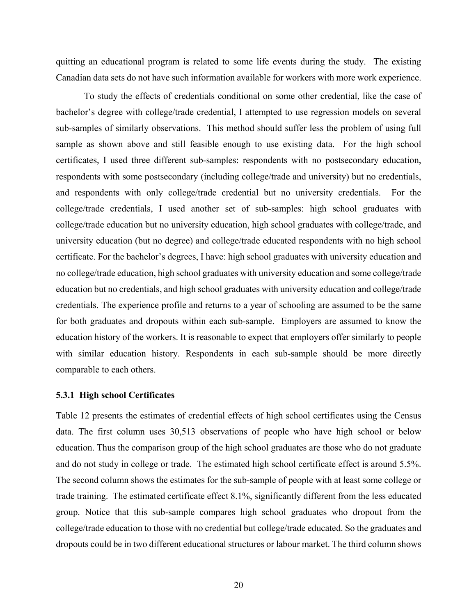quitting an educational program is related to some life events during the study. The existing Canadian data sets do not have such information available for workers with more work experience.

To study the effects of credentials conditional on some other credential, like the case of bachelor's degree with college/trade credential, I attempted to use regression models on several sub-samples of similarly observations. This method should suffer less the problem of using full sample as shown above and still feasible enough to use existing data. For the high school certificates, I used three different sub-samples: respondents with no postsecondary education, respondents with some postsecondary (including college/trade and university) but no credentials, and respondents with only college/trade credential but no university credentials. For the college/trade credentials, I used another set of sub-samples: high school graduates with college/trade education but no university education, high school graduates with college/trade, and university education (but no degree) and college/trade educated respondents with no high school certificate. For the bachelor's degrees, I have: high school graduates with university education and no college/trade education, high school graduates with university education and some college/trade education but no credentials, and high school graduates with university education and college/trade credentials. The experience profile and returns to a year of schooling are assumed to be the same for both graduates and dropouts within each sub-sample. Employers are assumed to know the education history of the workers. It is reasonable to expect that employers offer similarly to people with similar education history. Respondents in each sub-sample should be more directly comparable to each others.

#### **5.3.1 High school Certificates**

Table 12 presents the estimates of credential effects of high school certificates using the Census data. The first column uses 30,513 observations of people who have high school or below education. Thus the comparison group of the high school graduates are those who do not graduate and do not study in college or trade. The estimated high school certificate effect is around 5.5%. The second column shows the estimates for the sub-sample of people with at least some college or trade training. The estimated certificate effect 8.1%, significantly different from the less educated group. Notice that this sub-sample compares high school graduates who dropout from the college/trade education to those with no credential but college/trade educated. So the graduates and dropouts could be in two different educational structures or labour market. The third column shows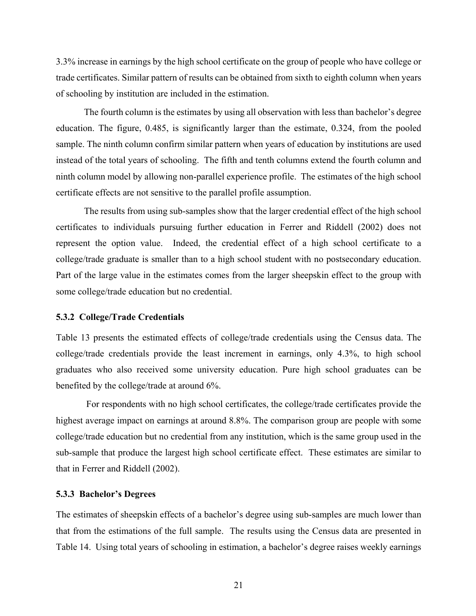3.3% increase in earnings by the high school certificate on the group of people who have college or trade certificates. Similar pattern of results can be obtained from sixth to eighth column when years of schooling by institution are included in the estimation.

The fourth column is the estimates by using all observation with less than bachelor's degree education. The figure, 0.485, is significantly larger than the estimate, 0.324, from the pooled sample. The ninth column confirm similar pattern when years of education by institutions are used instead of the total years of schooling. The fifth and tenth columns extend the fourth column and ninth column model by allowing non-parallel experience profile. The estimates of the high school certificate effects are not sensitive to the parallel profile assumption.

The results from using sub-samples show that the larger credential effect of the high school certificates to individuals pursuing further education in Ferrer and Riddell (2002) does not represent the option value. Indeed, the credential effect of a high school certificate to a college/trade graduate is smaller than to a high school student with no postsecondary education. Part of the large value in the estimates comes from the larger sheepskin effect to the group with some college/trade education but no credential.

#### **5.3.2 College/Trade Credentials**

Table 13 presents the estimated effects of college/trade credentials using the Census data. The college/trade credentials provide the least increment in earnings, only 4.3%, to high school graduates who also received some university education. Pure high school graduates can be benefited by the college/trade at around 6%.

 For respondents with no high school certificates, the college/trade certificates provide the highest average impact on earnings at around 8.8%. The comparison group are people with some college/trade education but no credential from any institution, which is the same group used in the sub-sample that produce the largest high school certificate effect. These estimates are similar to that in Ferrer and Riddell (2002).

#### **5.3.3 Bachelor's Degrees**

The estimates of sheepskin effects of a bachelor's degree using sub-samples are much lower than that from the estimations of the full sample. The results using the Census data are presented in Table 14. Using total years of schooling in estimation, a bachelor's degree raises weekly earnings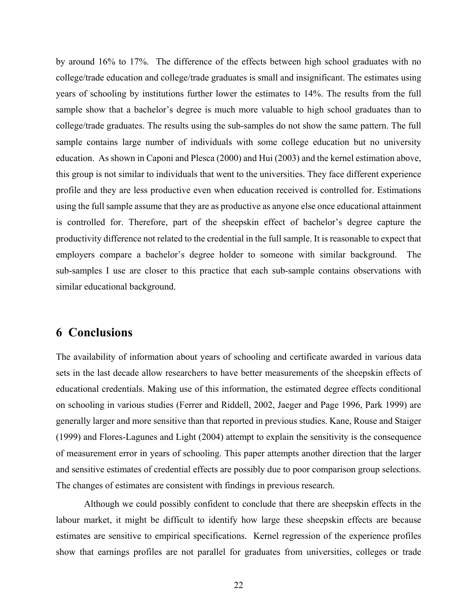by around 16% to 17%. The difference of the effects between high school graduates with no college/trade education and college/trade graduates is small and insignificant. The estimates using years of schooling by institutions further lower the estimates to 14%. The results from the full sample show that a bachelor's degree is much more valuable to high school graduates than to college/trade graduates. The results using the sub-samples do not show the same pattern. The full sample contains large number of individuals with some college education but no university education. As shown in Caponi and Plesca (2000) and Hui (2003) and the kernel estimation above, this group is not similar to individuals that went to the universities. They face different experience profile and they are less productive even when education received is controlled for. Estimations using the full sample assume that they are as productive as anyone else once educational attainment is controlled for. Therefore, part of the sheepskin effect of bachelor's degree capture the productivity difference not related to the credential in the full sample. It is reasonable to expect that employers compare a bachelor's degree holder to someone with similar background. The sub-samples I use are closer to this practice that each sub-sample contains observations with similar educational background.

## **6 Conclusions**

The availability of information about years of schooling and certificate awarded in various data sets in the last decade allow researchers to have better measurements of the sheepskin effects of educational credentials. Making use of this information, the estimated degree effects conditional on schooling in various studies (Ferrer and Riddell, 2002, Jaeger and Page 1996, Park 1999) are generally larger and more sensitive than that reported in previous studies. Kane, Rouse and Staiger (1999) and Flores-Lagunes and Light (2004) attempt to explain the sensitivity is the consequence of measurement error in years of schooling. This paper attempts another direction that the larger and sensitive estimates of credential effects are possibly due to poor comparison group selections. The changes of estimates are consistent with findings in previous research.

Although we could possibly confident to conclude that there are sheepskin effects in the labour market, it might be difficult to identify how large these sheepskin effects are because estimates are sensitive to empirical specifications. Kernel regression of the experience profiles show that earnings profiles are not parallel for graduates from universities, colleges or trade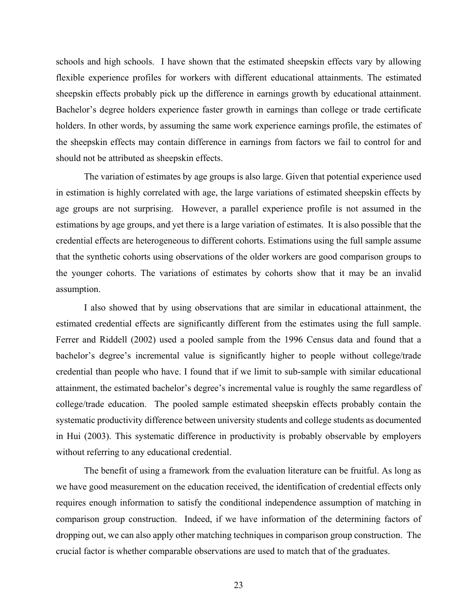schools and high schools. I have shown that the estimated sheepskin effects vary by allowing flexible experience profiles for workers with different educational attainments. The estimated sheepskin effects probably pick up the difference in earnings growth by educational attainment. Bachelor's degree holders experience faster growth in earnings than college or trade certificate holders. In other words, by assuming the same work experience earnings profile, the estimates of the sheepskin effects may contain difference in earnings from factors we fail to control for and should not be attributed as sheepskin effects.

The variation of estimates by age groups is also large. Given that potential experience used in estimation is highly correlated with age, the large variations of estimated sheepskin effects by age groups are not surprising. However, a parallel experience profile is not assumed in the estimations by age groups, and yet there is a large variation of estimates. It is also possible that the credential effects are heterogeneous to different cohorts. Estimations using the full sample assume that the synthetic cohorts using observations of the older workers are good comparison groups to the younger cohorts. The variations of estimates by cohorts show that it may be an invalid assumption.

I also showed that by using observations that are similar in educational attainment, the estimated credential effects are significantly different from the estimates using the full sample. Ferrer and Riddell (2002) used a pooled sample from the 1996 Census data and found that a bachelor's degree's incremental value is significantly higher to people without college/trade credential than people who have. I found that if we limit to sub-sample with similar educational attainment, the estimated bachelor's degree's incremental value is roughly the same regardless of college/trade education. The pooled sample estimated sheepskin effects probably contain the systematic productivity difference between university students and college students as documented in Hui (2003). This systematic difference in productivity is probably observable by employers without referring to any educational credential.

The benefit of using a framework from the evaluation literature can be fruitful. As long as we have good measurement on the education received, the identification of credential effects only requires enough information to satisfy the conditional independence assumption of matching in comparison group construction. Indeed, if we have information of the determining factors of dropping out, we can also apply other matching techniques in comparison group construction. The crucial factor is whether comparable observations are used to match that of the graduates.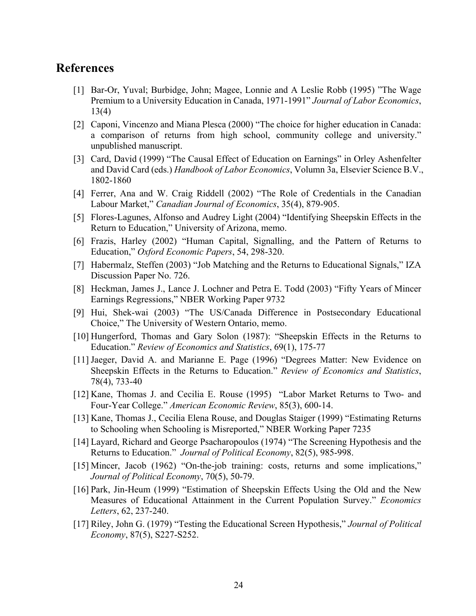#### **References**

- [1] Bar-Or, Yuval; Burbidge, John; Magee, Lonnie and A Leslie Robb (1995) "The Wage Premium to a University Education in Canada, 1971-1991" *Journal of Labor Economics*, 13(4)
- [2] Caponi, Vincenzo and Miana Plesca (2000) "The choice for higher education in Canada: a comparison of returns from high school, community college and university." unpublished manuscript.
- [3] Card, David (1999) "The Causal Effect of Education on Earnings" in Orley Ashenfelter and David Card (eds.) *Handbook of Labor Economics*, Volumn 3a, Elsevier Science B.V., 1802-1860
- [4] Ferrer, Ana and W. Craig Riddell (2002) "The Role of Credentials in the Canadian Labour Market," *Canadian Journal of Economics*, 35(4), 879-905.
- [5] Flores-Lagunes, Alfonso and Audrey Light (2004) "Identifying Sheepskin Effects in the Return to Education," University of Arizona, memo.
- [6] Frazis, Harley (2002) "Human Capital, Signalling, and the Pattern of Returns to Education," *Oxford Economic Papers*, 54, 298-320.
- [7] Habermalz, Steffen (2003) "Job Matching and the Returns to Educational Signals," IZA Discussion Paper No. 726.
- [8] Heckman, James J., Lance J. Lochner and Petra E. Todd (2003) "Fifty Years of Mincer Earnings Regressions," NBER Working Paper 9732
- [9] Hui, Shek-wai (2003) "The US/Canada Difference in Postsecondary Educational Choice," The University of Western Ontario, memo.
- [10] Hungerford, Thomas and Gary Solon (1987): "Sheepskin Effects in the Returns to Education." *Review of Economics and Statistics*, 69(1), 175-77
- [11] Jaeger, David A. and Marianne E. Page (1996) "Degrees Matter: New Evidence on Sheepskin Effects in the Returns to Education." *Review of Economics and Statistics*, 78(4), 733-40
- [12] Kane, Thomas J. and Cecilia E. Rouse (1995) "Labor Market Returns to Two- and Four-Year College." *American Economic Review*, 85(3), 600-14.
- [13] Kane, Thomas J., Cecilia Elena Rouse, and Douglas Staiger (1999) "Estimating Returns to Schooling when Schooling is Misreported," NBER Working Paper 7235
- [14] Layard, Richard and George Psacharopoulos (1974) "The Screening Hypothesis and the Returns to Education." *Journal of Political Economy*, 82(5), 985-998.
- [15] Mincer, Jacob (1962) "On-the-job training: costs, returns and some implications," *Journal of Political Economy*, 70(5), 50-79.
- [16] Park, Jin-Heum (1999) "Estimation of Sheepskin Effects Using the Old and the New Measures of Educational Attainment in the Current Population Survey." *Economics Letters*, 62, 237-240.
- [17] Riley, John G. (1979) "Testing the Educational Screen Hypothesis," *Journal of Political Economy*, 87(5), S227-S252.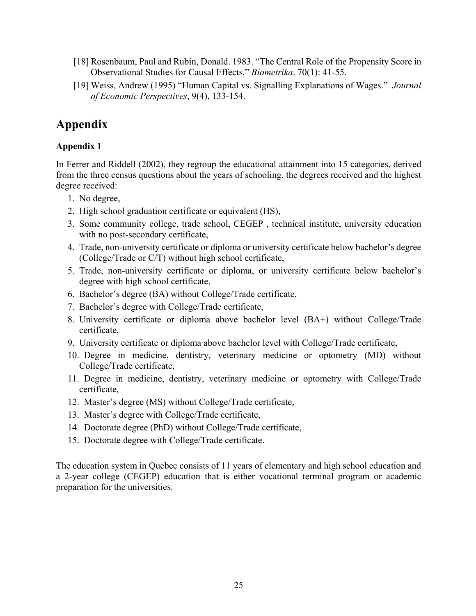- [18] Rosenbaum, Paul and Rubin, Donald. 1983. "The Central Role of the Propensity Score in Observational Studies for Causal Effects." *Biometrika*. 70(1): 41-55.
- [19] Weiss, Andrew (1995) "Human Capital vs. Signalling Explanations of Wages." *Journal of Economic Perspectives*, 9(4), 133-154.

## **Appendix**

#### **Appendix 1**

In Ferrer and Riddell (2002), they regroup the educational attainment into 15 categories, derived from the three census questions about the years of schooling, the degrees received and the highest degree received:

- 1. No degree,
- 2. High school graduation certificate or equivalent (HS),
- 3. Some community college, trade school, CEGEP , technical institute, university education with no post-secondary certificate,
- 4. Trade, non-university certificate or diploma or university certificate below bachelor's degree (College/Trade or C/T) without high school certificate,
- 5. Trade, non-university certificate or diploma, or university certificate below bachelor's degree with high school certificate,
- 6. Bachelor's degree (BA) without College/Trade certificate,
- 7. Bachelor's degree with College/Trade certificate,
- 8. University certificate or diploma above bachelor level (BA+) without College/Trade certificate,
- 9. University certificate or diploma above bachelor level with College/Trade certificate,
- 10. Degree in medicine, dentistry, veterinary medicine or optometry (MD) without College/Trade certificate,
- 11. Degree in medicine, dentistry, veterinary medicine or optometry with College/Trade certificate,
- 12. Master's degree (MS) without College/Trade certificate,
- 13. Master's degree with College/Trade certificate,
- 14. Doctorate degree (PhD) without College/Trade certificate,
- 15. Doctorate degree with College/Trade certificate.

The education system in Quebec consists of 11 years of elementary and high school education and a 2-year college (CEGEP) education that is either vocational terminal program or academic preparation for the universities.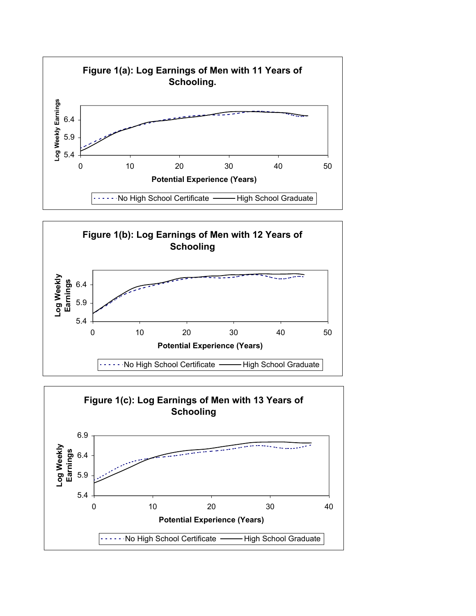



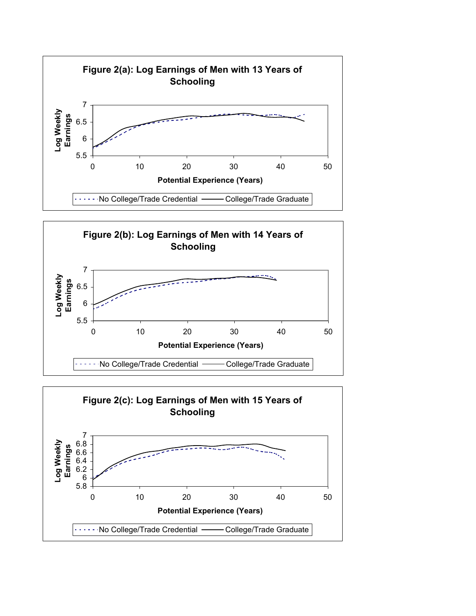



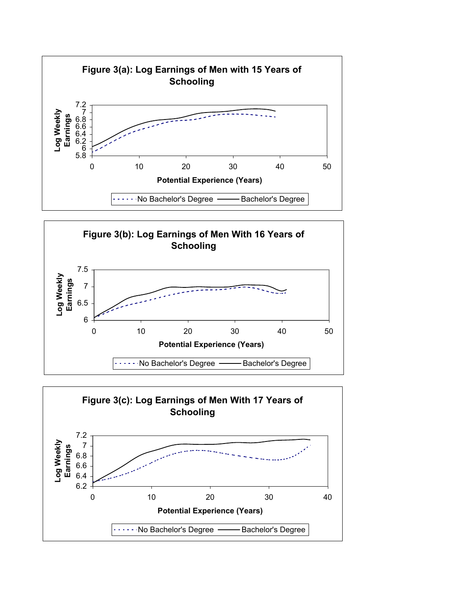



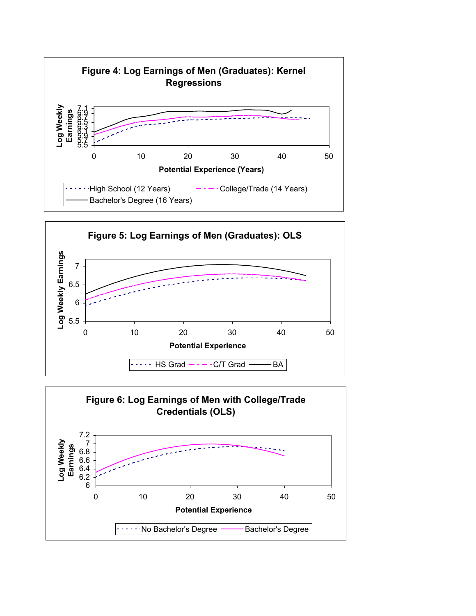



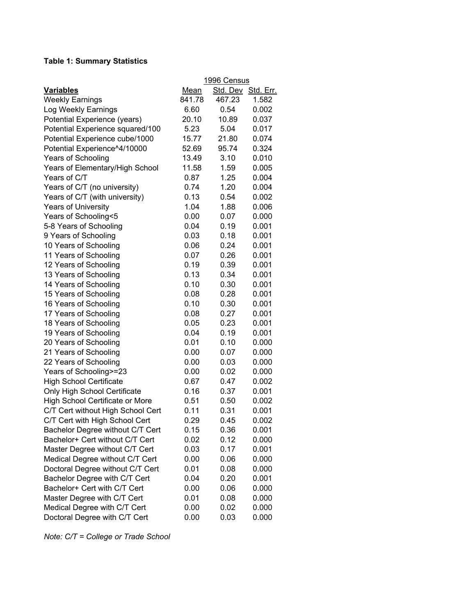#### **Table 1: Summary Statistics**

|                                   | 1996 Census |          |                  |  |  |  |
|-----------------------------------|-------------|----------|------------------|--|--|--|
| <b>Variables</b>                  | <b>Mean</b> | Std. Dev | <u>Std. Err.</u> |  |  |  |
| <b>Weekly Earnings</b>            | 841.78      | 467.23   | 1.582            |  |  |  |
| Log Weekly Earnings               | 6.60        | 0.54     | 0.002            |  |  |  |
| Potential Experience (years)      | 20.10       | 10.89    | 0.037            |  |  |  |
| Potential Experience squared/100  | 5.23        | 5.04     | 0.017            |  |  |  |
| Potential Experience cube/1000    | 15.77       | 21.80    | 0.074            |  |  |  |
| Potential Experience^4/10000      | 52.69       | 95.74    | 0.324            |  |  |  |
| Years of Schooling                | 13.49       | 3.10     | 0.010            |  |  |  |
| Years of Elementary/High School   | 11.58       | 1.59     | 0.005            |  |  |  |
| Years of C/T                      | 0.87        | 1.25     | 0.004            |  |  |  |
| Years of C/T (no university)      | 0.74        | 1.20     | 0.004            |  |  |  |
| Years of C/T (with university)    | 0.13        | 0.54     | 0.002            |  |  |  |
| <b>Years of University</b>        | 1.04        | 1.88     | 0.006            |  |  |  |
| Years of Schooling<5              | 0.00        | 0.07     | 0.000            |  |  |  |
| 5-8 Years of Schooling            | 0.04        | 0.19     | 0.001            |  |  |  |
| 9 Years of Schooling              | 0.03        | 0.18     | 0.001            |  |  |  |
| 10 Years of Schooling             | 0.06        | 0.24     | 0.001            |  |  |  |
| 11 Years of Schooling             | 0.07        | 0.26     | 0.001            |  |  |  |
| 12 Years of Schooling             | 0.19        | 0.39     | 0.001            |  |  |  |
| 13 Years of Schooling             | 0.13        | 0.34     | 0.001            |  |  |  |
| 14 Years of Schooling             | 0.10        | 0.30     | 0.001            |  |  |  |
| 15 Years of Schooling             | 0.08        | 0.28     | 0.001            |  |  |  |
| 16 Years of Schooling             | 0.10        | 0.30     | 0.001            |  |  |  |
| 17 Years of Schooling             | 0.08        | 0.27     | 0.001            |  |  |  |
| 18 Years of Schooling             | 0.05        | 0.23     | 0.001            |  |  |  |
| 19 Years of Schooling             | 0.04        | 0.19     | 0.001            |  |  |  |
| 20 Years of Schooling             | 0.01        | 0.10     | 0.000            |  |  |  |
| 21 Years of Schooling             | 0.00        | 0.07     | 0.000            |  |  |  |
| 22 Years of Schooling             | 0.00        | 0.03     | 0.000            |  |  |  |
| Years of Schooling>=23            | 0.00        | 0.02     | 0.000            |  |  |  |
| <b>High School Certificate</b>    | 0.67        | 0.47     | 0.002            |  |  |  |
| Only High School Certificate      | 0.16        | 0.37     | 0.001            |  |  |  |
| High School Certificate or More   | 0.51        | 0.50     | 0.002            |  |  |  |
| C/T Cert without High School Cert | 0.11        | 0.31     | 0.001            |  |  |  |
| C/T Cert with High School Cert    | 0.29        | 0.45     | 0.002            |  |  |  |
| Bachelor Degree without C/T Cert  | 0.15        | 0.36     | 0.001            |  |  |  |
| Bachelor+ Cert without C/T Cert   | 0.02        | 0.12     | 0.000            |  |  |  |
| Master Degree without C/T Cert    | 0.03        | 0.17     | 0.001            |  |  |  |
| Medical Degree without C/T Cert   | 0.00        | 0.06     | 0.000            |  |  |  |
| Doctoral Degree without C/T Cert  | 0.01        | 0.08     | 0.000            |  |  |  |
| Bachelor Degree with C/T Cert     | 0.04        | 0.20     | 0.001            |  |  |  |
| Bachelor+ Cert with C/T Cert      | 0.00        | 0.06     | 0.000            |  |  |  |
| Master Degree with C/T Cert       | 0.01        | 0.08     | 0.000            |  |  |  |
| Medical Degree with C/T Cert      | 0.00        | 0.02     | 0.000            |  |  |  |
| Doctoral Degree with C/T Cert     | 0.00        | 0.03     | 0.000            |  |  |  |

*Note: C/T = College or Trade School*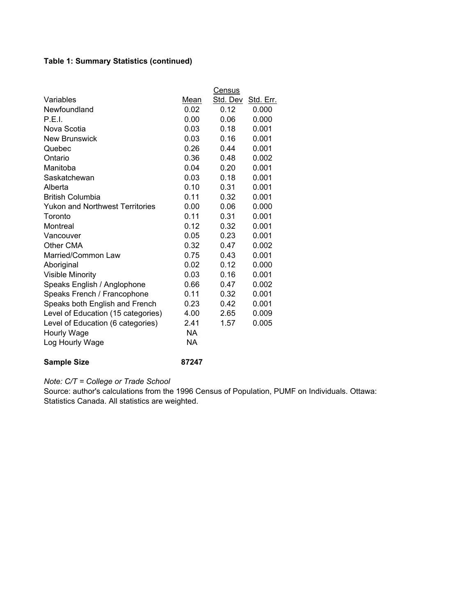#### **Table 1: Summary Statistics (continued)**

|                                        |             | Census   |           |
|----------------------------------------|-------------|----------|-----------|
| Variables                              | <u>Mean</u> | Std. Dev | Std. Err. |
| Newfoundland                           | 0.02        | 0.12     | 0.000     |
| P.E.I.                                 | 0.00        | 0.06     | 0.000     |
| Nova Scotia                            | 0.03        | 0.18     | 0.001     |
| <b>New Brunswick</b>                   | 0.03        | 0.16     | 0.001     |
| Quebec                                 | 0.26        | 0.44     | 0.001     |
| Ontario                                | 0.36        | 0.48     | 0.002     |
| Manitoba                               | 0.04        | 0.20     | 0.001     |
| Saskatchewan                           | 0.03        | 0.18     | 0.001     |
| Alberta                                | 0.10        | 0.31     | 0.001     |
| <b>British Columbia</b>                | 0.11        | 0.32     | 0.001     |
| <b>Yukon and Northwest Territories</b> | 0.00        | 0.06     | 0.000     |
| Toronto                                | 0.11        | 0.31     | 0.001     |
| Montreal                               | 0.12        | 0.32     | 0.001     |
| Vancouver                              | 0.05        | 0.23     | 0.001     |
| Other CMA                              | 0.32        | 0.47     | 0.002     |
| Married/Common Law                     | 0.75        | 0.43     | 0.001     |
| Aboriginal                             | 0.02        | 0.12     | 0.000     |
| <b>Visible Minority</b>                | 0.03        | 0.16     | 0.001     |
| Speaks English / Anglophone            | 0.66        | 0.47     | 0.002     |
| Speaks French / Francophone            | 0.11        | 0.32     | 0.001     |
| Speaks both English and French         | 0.23        | 0.42     | 0.001     |
| Level of Education (15 categories)     | 4.00        | 2.65     | 0.009     |
| Level of Education (6 categories)      | 2.41        | 1.57     | 0.005     |
| Hourly Wage                            | <b>NA</b>   |          |           |
| Log Hourly Wage                        | <b>NA</b>   |          |           |
| <b>Sample Size</b>                     | 87247       |          |           |

*Note: C/T = College or Trade School*

Source: author's calculations from the 1996 Census of Population, PUMF on Individuals. Ottawa: Statistics Canada. All statistics are weighted.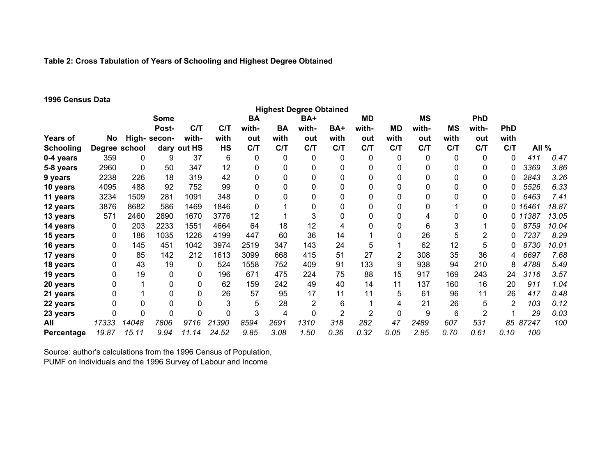#### **Table 2: Cross Tabulation of Years of Schooling and Highest Degree Obtained**

#### **1996 Census Data**

|                   |               |              |              |             |           |           |           | <b>Highest Degree Obtained</b> |                |                |             |           |           |                |                |         |       |
|-------------------|---------------|--------------|--------------|-------------|-----------|-----------|-----------|--------------------------------|----------------|----------------|-------------|-----------|-----------|----------------|----------------|---------|-------|
|                   |               |              | Some         |             |           | <b>BA</b> |           | BA+                            |                | MD             |             | <b>MS</b> |           | <b>PhD</b>     |                |         |       |
|                   |               |              | Post-        | C/T         | C/T       | with-     | <b>BA</b> | with-                          | BA+            | with-          | MD          | with-     | <b>MS</b> | with-          | <b>PhD</b>     |         |       |
| Years of          | No            |              | High- secon- | with-       | with      | out       | with      | out                            | with           | out            | with        | out       | with      | out            | with           |         |       |
| <b>Schooling</b>  | Degree school |              |              | dary out HS | <b>HS</b> | C/T       | C/T       | C/T                            | C/T            | C/T            | C/T         | C/T       | C/T       | C/T            | C/T            | All %   |       |
| 0-4 years         | 359           | 0            | 9            | 37          | 6         | 0         | 0         | 0                              | 0              | 0              | 0           | 0         | 0         | 0              | 0              | 411     | 0.47  |
| 5-8 years         | 2960          | $\mathbf{0}$ | 50           | 347         | 12        | 0         | 0         | 0                              | 0              | 0              | 0           | 0         |           | 0              | 0              | 3369    | 3.86  |
| 9 years           | 2238          | 226          | 18           | 319         | 42        | 0         | 0         | 0                              | 0              | 0              | 0           | 0         |           | 0              |                | 2843    | 3.26  |
| 10 years          | 4095          | 488          | 92           | 752         | 99        | 0         | 0         | 0                              | 0              | 0              | 0           | 0         |           | 0              |                | 5526    | 6.33  |
| 11 years          | 3234          | 1509         | 281          | 1091        | 348       | 0         | 0         | 0                              | 0              | 0              | 0           | $\Omega$  |           | 0              | 0              | 6463    | 7.41  |
| 12 years          | 3876          | 8682         | 586          | 1469        | 1846      | 0         |           | 0                              | 0              | 0              | 0           | 0         |           | 0              |                | 0 16461 | 18.87 |
| 13 years          | 571           | 2460         | 2890         | 1670        | 3776      | 12        |           | 3                              | 0              | 0              | 0           | 4         |           | 0              |                | 0 11387 | 13.05 |
| 14 years          | 0             | 203          | 2233         | 1551        | 4664      | 64        | 18        | 12                             | 4              | 0              | 0           | 6         | 3         |                |                | 8759    | 10.04 |
| 15 years          | 0             | 186          | 1035         | 1226        | 4199      | 447       | 60        | 36                             | 14             |                | 0           | 26        | 5         | 2              |                | 7237    | 8.29  |
| 16 years          | 0             | 145          | 451          | 1042        | 3974      | 2519      | 347       | 143                            | 24             | 5              |             | 62        | 12        | 5              |                | 8730    | 10.01 |
| 17 years          | 0             | 85           | 142          | 212         | 1613      | 3099      | 668       | 415                            | 51             | 27             | 2           | 308       | 35        | 36             | 4              | 6697    | 7.68  |
| 18 years          | 0             | 43           | 19           | 0           | 524       | 1558      | 752       | 409                            | 91             | 133            | 9           | 938       | 94        | 210            | 8              | 4788    | 5.49  |
| 19 years          | 0             | 19           | $\mathbf 0$  | 0           | 196       | 671       | 475       | 224                            | 75             | 88             | 15          | 917       | 169       | 243            | 24             | 3116    | 3.57  |
| 20 years          | 0             |              | 0            | 0           | 62        | 159       | 242       | 49                             | 40             | 14             | 11          | 137       | 160       | 16             | 20             | 911     | 1.04  |
| 21 years          | 0             |              | 0            | 0           | 26        | 57        | 95        | 17                             | 11             | 11             | 5           | 61        | 96        | 11             | 26             | 417     | 0.48  |
| 22 years          | 0             | $\mathbf 0$  | $\pmb{0}$    | 0           | 3         | 5         | 28        | $\overline{2}$                 | 6              |                | 4           | 21        | 26        | 5              | $\overline{2}$ | 103     | 0.12  |
| 23 years          | 0             | $\mathbf 0$  | $\mathbf 0$  | 0           | 0         | 3         | 4         | 0                              | $\overline{2}$ | $\overline{2}$ | $\mathbf 0$ | 9         | 6         | $\overline{2}$ |                | 29      | 0.03  |
| All               | 17333         | 14048        | 7806         | 9716        | 21390     | 8594      | 2691      | 1310                           | 318            | 282            | 47          | 2489      | 607       | 531            | 85             | 87247   | 100   |
| <b>Percentage</b> | 19.87         | 15.11        | 9.94         | 11.14       | 24.52     | 9.85      | 3.08      | 1.50                           | 0.36           | 0.32           | 0.05        | 2.85      | 0.70      | 0.61           | 0.10           | 100     |       |

Source: author's calculations from the 1996 Census of Population, PUMF on Individuals and the 1996 Survey of Labour and Income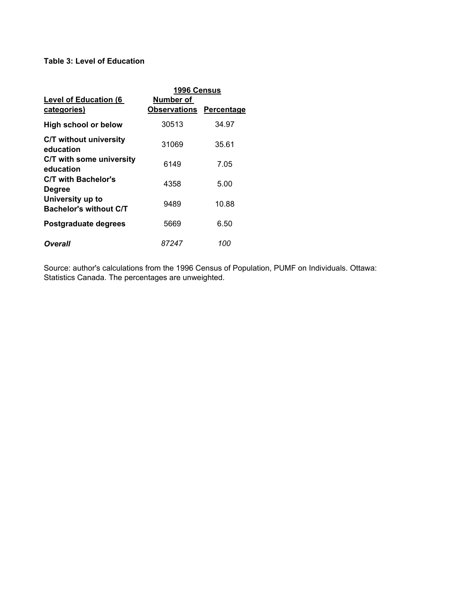#### **Table 3: Level of Education**

|                                                   | 1996 Census                      |                   |
|---------------------------------------------------|----------------------------------|-------------------|
| <b>Level of Education (6)</b><br>categories)      | Number of<br><b>Observations</b> | <b>Percentage</b> |
| High school or below                              | 30513                            | 34.97             |
| <b>C/T without university</b><br>education        | 31069                            | 35.61             |
| C/T with some university<br>education             | 6149                             | 7.05              |
| C/T with Bachelor's<br><b>Degree</b>              | 4358                             | 5.00              |
| University up to<br><b>Bachelor's without C/T</b> | 9489                             | 10.88             |
| Postgraduate degrees                              | 5669                             | 6.50              |
| Overall                                           | 87247                            | 100               |

Source: author's calculations from the 1996 Census of Population, PUMF on Individuals. Ottawa: Statistics Canada. The percentages are unweighted.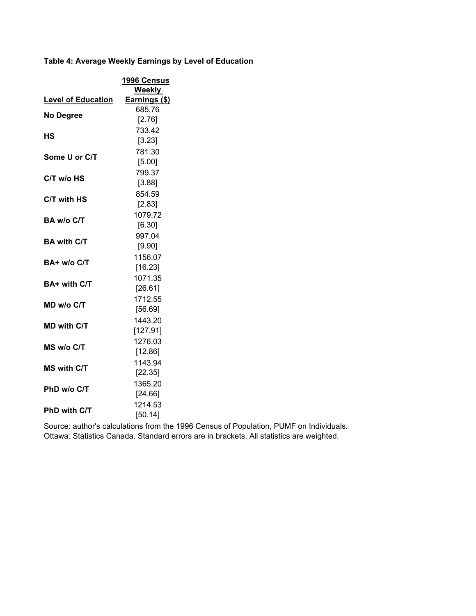**Table 4: Average Weekly Earnings by Level of Education**

|                           | <b>1996 Census</b><br><b>Weekly</b> |
|---------------------------|-------------------------------------|
| <b>Level of Education</b> | Earnings (\$)                       |
|                           | 685.76                              |
| <b>No Degree</b>          | [2.76]                              |
|                           | 733.42                              |
| НS                        | [3.23]                              |
| Some U or C/T             | 781.30                              |
|                           | [5.00]                              |
| C/T w/o HS                | 799.37                              |
|                           | [3.88]                              |
| C/T with HS               | 854.59                              |
|                           | [2.83]                              |
| BA w/o C/T                | 1079.72                             |
|                           | [6.30]                              |
| <b>BA with C/T</b>        | 997.04                              |
|                           | [9.90]                              |
| BA+ w/o C/T               | 1156.07                             |
|                           | [16.23]                             |
| BA+ with C/T              | 1071.35                             |
|                           | [26.61]                             |
| MD w/o C/T                | 1712.55                             |
|                           | [56.69]                             |
| <b>MD with C/T</b>        | 1443.20                             |
|                           | [127.91]                            |
| MS w/o C/T                | 1276.03                             |
|                           | [12.86]                             |
| <b>MS with C/T</b>        | 1143.94                             |
|                           | [22.35]                             |
| PhD w/o C/T               | 1365.20                             |
|                           | [24.66]                             |
| <b>PhD with C/T</b>       | 1214.53                             |
|                           | [50.14]                             |

Source: author's calculations from the 1996 Census of Population, PUMF on Individuals. Ottawa: Statistics Canada. Standard errors are in brackets. All statistics are weighted.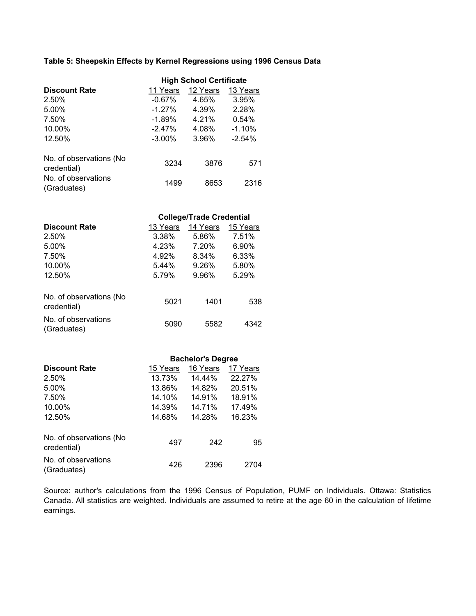#### **Table 5: Sheepskin Effects by Kernel Regressions using 1996 Census Data**

|                                         | <b>High School Certificate</b> |          |          |  |  |  |
|-----------------------------------------|--------------------------------|----------|----------|--|--|--|
| <b>Discount Rate</b>                    | 11 Years                       | 12 Years | 13 Years |  |  |  |
| 2.50%                                   | $-0.67\%$                      | 4.65%    | 3.95%    |  |  |  |
| 5.00%                                   | $-1.27%$                       | 4.39%    | 2.28%    |  |  |  |
| 7.50%                                   | $-1.89%$                       | 4.21%    | 0.54%    |  |  |  |
| 10.00%                                  | $-2.47\%$                      | 4.08%    | $-1.10%$ |  |  |  |
| 12.50%                                  | $-3.00\%$                      | 3.96%    | $-2.54%$ |  |  |  |
| No. of observations (No.<br>credential) | 3234                           | 3876     | 571      |  |  |  |
| No. of observations<br>(Graduates)      | 1499                           | 8653     | 2316     |  |  |  |

|                                         | <b>College/Trade Credential</b> |          |          |  |  |  |  |
|-----------------------------------------|---------------------------------|----------|----------|--|--|--|--|
| <b>Discount Rate</b>                    | 13 Years                        | 14 Years | 15 Years |  |  |  |  |
| 2.50%                                   | 3.38%                           | 5.86%    | 7.51%    |  |  |  |  |
| 5.00%                                   | 4.23%                           | 7.20%    | 6.90%    |  |  |  |  |
| 7.50%                                   | 4.92%                           | 8.34%    | 6.33%    |  |  |  |  |
| 10.00%                                  | 5.44%                           | 9.26%    | 5.80%    |  |  |  |  |
| 12.50%                                  | 5.79%                           | 9.96%    | 5.29%    |  |  |  |  |
| No. of observations (No.<br>credential) | 5021                            | 1401     | 538      |  |  |  |  |
| No. of observations<br>(Graduates)      | 5090                            | 5582     | 4342     |  |  |  |  |

|                                         | <b>Bachelor's Degree</b> |          |          |  |  |  |
|-----------------------------------------|--------------------------|----------|----------|--|--|--|
| <b>Discount Rate</b>                    | 15 Years                 | 16 Years | 17 Years |  |  |  |
| 2.50%                                   | 13.73%                   | 14.44%   | 22.27%   |  |  |  |
| 5.00%                                   | 13.86%                   | 14.82%   | 20.51%   |  |  |  |
| 7.50%                                   | 14.10%                   | 14.91%   | 18.91%   |  |  |  |
| 10.00%                                  | 14.39%                   | 14.71%   | 17.49%   |  |  |  |
| 12.50%                                  | 14.68%                   | 14.28%   | 16.23%   |  |  |  |
| No. of observations (No.<br>credential) | 497                      | 242      | 95       |  |  |  |
| No. of observations<br>(Graduates)      | 426                      | 2396     | 2704     |  |  |  |

Source: author's calculations from the 1996 Census of Population, PUMF on Individuals. Ottawa: Statistics Canada. All statistics are weighted. Individuals are assumed to retire at the age 60 in the calculation of lifetime earnings.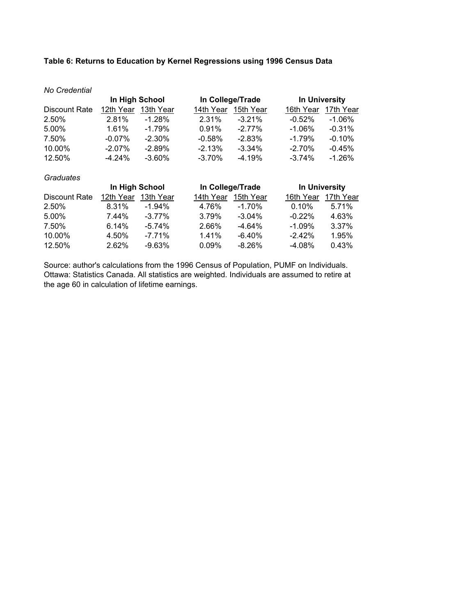#### **Table 6: Returns to Education by Kernel Regressions using 1996 Census Data**

| No Credential |                |           |           |                  |           |                      |  |  |
|---------------|----------------|-----------|-----------|------------------|-----------|----------------------|--|--|
|               | In High School |           |           | In College/Trade |           | <b>In University</b> |  |  |
| Discount Rate | 12th Year      | 13th Year | 14th Year | 15th Year        | 16th Year | 17th Year            |  |  |
| 2.50%         | 2.81%          | $-1.28%$  | 2.31%     | $-3.21%$         | $-0.52%$  | $-1.06\%$            |  |  |
| 5.00%         | 1.61%          | $-1.79%$  | 0.91%     | $-2.77%$         | $-1.06\%$ | $-0.31%$             |  |  |
| 7.50%         | $-0.07\%$      | $-2.30\%$ | $-0.58%$  | $-2.83%$         | $-1.79%$  | $-0.10%$             |  |  |
| 10.00%        | $-2.07\%$      | $-2.89%$  | $-2.13%$  | $-3.34\%$        | $-2.70%$  | $-0.45%$             |  |  |
| 12.50%        | $-4.24\%$      | $-3.60\%$ | $-3.70%$  | $-4.19%$         | $-3.74%$  | $-1.26%$             |  |  |

#### *Graduates* Discount Rate 12th Year 13th Year 14th Year 15th Year 16th Year 17th Year 2.50% 8.31% -1.94% 4.76% -1.70% 0.10% 5.71% 5.00% 7.44% -3.77% 3.79% -3.04% -0.22% 4.63% 7.50% 6.14% -5.74% 2.66% -4.64% -1.09% 3.37% 10.00% 4.50% -7.71% 1.41% -6.40% -2.42% 1.95% 12.50% 2.62% -9.63% 0.09% -8.26% -4.08% 0.43% In High School **In College/Trade** In University

Source: author's calculations from the 1996 Census of Population, PUMF on Individuals. Ottawa: Statistics Canada. All statistics are weighted. Individuals are assumed to retire at the age 60 in calculation of lifetime earnings.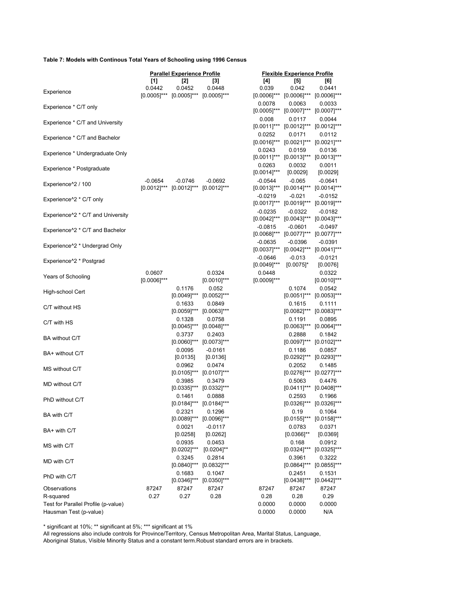#### **Table 7: Models with Continous Total Years of Schooling using 1996 Census**

|                                                |                  | <b>Parallel Experience Profile</b>           |                                         | <b>Flexible Experience Profile</b> |                                                  |                                         |
|------------------------------------------------|------------------|----------------------------------------------|-----------------------------------------|------------------------------------|--------------------------------------------------|-----------------------------------------|
|                                                | [1]              | [2]                                          | $^{[3]}$                                | [4]                                | [5]                                              | [6]                                     |
| Experience                                     | 0.0442           | 0.0452                                       | 0.0448                                  | 0.039                              | 0.042                                            | 0.0441                                  |
|                                                |                  | $[0.0005]$ *** $[0.0005]$ *** $[0.0005]$ *** |                                         |                                    | $[0.0006]$ *** $[0.0006]$ *** $[0.0006]$ ***     |                                         |
| Experience * C/T only                          |                  |                                              |                                         | 0.0078                             | 0.0063                                           | 0.0033                                  |
|                                                |                  |                                              |                                         |                                    | [0.0005]*** [0.0007]*** [0.0007]***              |                                         |
| Experience * C/T and University                |                  |                                              |                                         | 0.008                              | 0.0117<br>[0.0011]*** [0.0012]*** [0.0012]***    | 0.0044                                  |
|                                                |                  |                                              |                                         | 0.0252                             | 0.0171                                           | 0.0112                                  |
| Experience * C/T and Bachelor                  |                  |                                              |                                         |                                    | [0.0016]*** [0.0021]*** [0.0021]***              |                                         |
|                                                |                  |                                              |                                         | 0.0243                             | 0.0159                                           | 0.0136                                  |
| Experience * Undergraduate Only                |                  |                                              |                                         |                                    | $[0.0011]$ *** $[0.0013]$ *** $[0.0013]$ ***     |                                         |
|                                                |                  |                                              |                                         | 0.0263                             | 0.0032                                           | 0.0011                                  |
| Experience * Postgraduate                      |                  |                                              |                                         | $[0.0014]^{***}$                   | [0.0029]                                         | [0.0029]                                |
| Experience <sup>^2</sup> / 100                 | $-0.0654$        | $-0.0746$                                    | $-0.0692$                               | $-0.0544$                          | $-0.065$                                         | $-0.0641$                               |
|                                                |                  | $[0.0012]$ *** $[0.0012]$ *** $[0.0012]$ *** |                                         |                                    | [0.0013]*** [0.0014]*** [0.0014]***              |                                         |
| Experience <sup>^2</sup> * C/T only            |                  |                                              |                                         | $-0.0219$                          | $-0.021$                                         | $-0.0152$                               |
|                                                |                  |                                              |                                         |                                    | [0.0017]*** [0.0019]*** [0.0019]***              |                                         |
| Experience <sup>1</sup> 2 * C/T and University |                  |                                              |                                         | $-0.0235$                          | $-0.0322$                                        | $-0.0182$                               |
|                                                |                  |                                              |                                         |                                    | [0.0042]*** [0.0043]*** [0.0043]***              |                                         |
| Experience <sup>1</sup> 2 * C/T and Bachelor   |                  |                                              |                                         | $-0.0815$                          | $-0.0601$<br>[0.0068]*** [0.0077]*** [0.0077]*** | $-0.0497$                               |
|                                                |                  |                                              |                                         | $-0.0635$                          | $-0.0396$                                        | $-0.0391$                               |
| Experience <sup>1</sup> 2 * Undergrad Only     |                  |                                              |                                         |                                    | [0.0037]*** [0.0042]*** [0.0041]***              |                                         |
|                                                |                  |                                              |                                         | $-0.0646$                          | $-0.013$                                         | $-0.0121$                               |
| Experience <sup>^2</sup> * Postgrad            |                  |                                              |                                         | $[0.0049]^{***}$                   | $[0.0075]$ *                                     | [0.0076]                                |
|                                                | 0.0607           |                                              | 0.0324                                  | 0.0448                             |                                                  | 0.0322                                  |
| Years of Schooling                             | $[0.0006]^{***}$ |                                              | $[0.0010]^{***}$                        | $[0.0009]^{***}$                   |                                                  | $[0.0010]$ ***                          |
| High-school Cert                               |                  | 0.1176                                       | 0.052                                   |                                    | 0.1074                                           | 0.0542                                  |
|                                                |                  |                                              | $[0.0049]$ *** $[0.0052]$ ***           |                                    |                                                  | $[0.0051]$ *** $[0.0053]$ ***           |
| C/T without HS                                 |                  | 0.1633                                       | 0.0849                                  |                                    | 0.1615                                           | 0.1111                                  |
|                                                |                  |                                              | $[0.0059]$ *** $[0.0063]$ ***           |                                    |                                                  | $[0.0082]$ *** $[0.0083]$ ***           |
| C/T with HS                                    |                  | 0.1328                                       | 0.0758                                  |                                    | 0.1191                                           | 0.0895                                  |
|                                                |                  | 0.3737                                       | $[0.0045]$ *** $[0.0048]$ ***           |                                    | 0.2888                                           | $[0.0063]$ *** $[0.0064]$ ***           |
| BA without C/T                                 |                  |                                              | 0.2403<br>$[0.0060]$ *** $[0.0073]$ *** |                                    |                                                  | 0.1842<br>$[0.0097]$ *** $[0.0102]$ *** |
|                                                |                  | 0.0095                                       | $-0.0161$                               |                                    | 0.1186                                           | 0.0857                                  |
| BA+ without C/T                                |                  | [0.0135]                                     | [0.0136]                                |                                    |                                                  | [0.0292]*** [0.0293]***                 |
|                                                |                  | 0.0962                                       | 0.0474                                  |                                    | 0.2052                                           | 0.1485                                  |
| MS without C/T                                 |                  |                                              | $[0.0105]$ *** $[0.0107]$ ***           |                                    |                                                  | $[0.0276]$ *** $[0.0277]$ ***           |
| MD without C/T                                 |                  | 0.3985                                       | 0.3479                                  |                                    | 0.5063                                           | 0.4476                                  |
|                                                |                  |                                              | $[0.0335]$ *** $[0.0332]$ ***           |                                    |                                                  | $[0.0411]$ *** $[0.0408]$ ***           |
| PhD without C/T                                |                  | 0.1461                                       | 0.0888                                  |                                    | 0.2593                                           | 0.1966                                  |
|                                                |                  |                                              | $[0.0184]$ *** $[0.0184]$ ***           |                                    |                                                  | $[0.0326]$ *** $[0.0326]$ ***           |
| BA with C/T                                    |                  | 0.2321                                       | 0.1296                                  |                                    | 0.19                                             | 0.1064                                  |
|                                                |                  |                                              | $[0.0089]$ *** $[0.0096]$ ***           |                                    |                                                  | [0.0155]*** [0.0158]***                 |
| BA+ with C/T                                   |                  | 0.0021                                       | $-0.0117$                               |                                    | 0.0783                                           | 0.0371                                  |
|                                                |                  | [0.0258]<br>0.0935                           | [0.0262]<br>0.0453                      |                                    | $[0.0366]$ **<br>0.168                           | [0.0369]<br>0.0912                      |
| MS with C/T                                    |                  | $[0.0202]^{***}$                             | $[0.0204]^{**}$                         |                                    | $[0.0324]^{***}$                                 | $[0.0325]$ ***                          |
|                                                |                  | 0.3245                                       | 0.2814                                  |                                    | 0.3961                                           | 0.3222                                  |
| MD with C/T                                    |                  | $[0.0840]^{***}$                             | $[0.0832]$ ***                          |                                    | $[0.0864]^{***}$                                 | $[0.0855]$ ***                          |
|                                                |                  | 0.1683                                       | 0.1047                                  |                                    | 0.2451                                           | 0.1531                                  |
| PhD with C/T                                   |                  |                                              | $[0.0346]$ *** $[0.0350]$ ***           |                                    | $[0.0438]^{***}$                                 | $[0.0442]$ ***                          |
| Observations                                   | 87247            | 87247                                        | 87247                                   | 87247                              | 87247                                            | 87247                                   |
| R-squared                                      | 0.27             | 0.27                                         | 0.28                                    | 0.28                               | 0.28                                             | 0.29                                    |
| Test for Parallel Profile (p-value)            |                  |                                              |                                         | 0.0000                             | 0.0000                                           | 0.0000                                  |
| Hausman Test (p-value)                         |                  |                                              |                                         | 0.0000                             | 0.0000                                           | N/A                                     |

\* significant at 10%; \*\* significant at 5%; \*\*\* significant at 1%

All regressions also include controls for Province/Territory, Census Metropolitan Area, Marital Status, Language, Aboriginal Status, Visible Minority Status and a constant term.Robust standard errors are in brackets.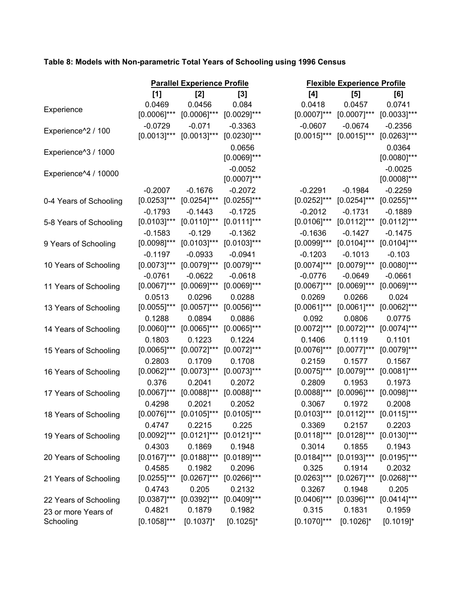#### **Table 8: Models with Non-parametric Total Years of Schooling using 1996 Census**

|                        |                  | <b>Parallel Experience Profile</b>           |                  |                  | <b>Flexible Experience Profile</b>           |                |
|------------------------|------------------|----------------------------------------------|------------------|------------------|----------------------------------------------|----------------|
|                        | [1]              | [2]                                          | [3]              | [4]              | [5]                                          | [6]            |
|                        | 0.0469           | 0.0456                                       | 0.084            | 0.0418           | 0.0457                                       | 0.0741         |
| Experience             | $[0.0006]$ ***   | $[0.0006]$ ***                               | $[0.0029]$ ***   | $[0.0007]^{***}$ | $[0.0007]$ ***                               | $[0.0033]$ *** |
|                        | $-0.0729$        | $-0.071$                                     | $-0.3363$        | $-0.0607$        | $-0.0674$                                    | $-0.2356$      |
| Experience^2 / 100     | $[0.0013]$ ***   | $[0.0013]$ ***                               | $[0.0230]^{***}$ | $[0.0015]$ ***   | $[0.0015]$ ***                               | $[0.0263]$ *** |
|                        |                  |                                              | 0.0656           |                  |                                              | 0.0364         |
| Experience^3 / 1000    |                  |                                              | $[0.0069]$ ***   |                  |                                              | $[0.0080]$ *** |
| Experience^4 / 10000   |                  |                                              | $-0.0052$        |                  |                                              | $-0.0025$      |
|                        |                  |                                              | $[0.0007]$ ***   |                  |                                              | $[0.0008]$ *** |
|                        | $-0.2007$        | $-0.1676$                                    | $-0.2072$        | $-0.2291$        | $-0.1984$                                    | $-0.2259$      |
| 0-4 Years of Schooling | $[0.0253]$ ***   | $[0.0254]^{***}$                             | $[0.0255]^{***}$ | $[0.0252]$ ***   | $[0.0254]$ ***                               | $[0.0255]$ *** |
|                        | $-0.1793$        | $-0.1443$                                    | $-0.1725$        | $-0.2012$        | $-0.1731$                                    | $-0.1889$      |
| 5-8 Years of Schooling | $[0.0103]$ ***   | $[0.0110]$ ***                               | $[0.0111]$ ***   | $[0.0106]^{***}$ | $[0.0112]$ ***                               | $[0.0112]$ *** |
|                        | $-0.1583$        | $-0.129$                                     | $-0.1362$        | $-0.1636$        | $-0.1427$                                    | $-0.1475$      |
| 9 Years of Schooling   | $[0.0098]$ ***   | $[0.0103]$ ***                               | $[0.0103]$ ***   | $[0.0099]$ ***   | $[0.0104]$ ***                               | $[0.0104]$ *** |
|                        | $-0.1197$        | $-0.0933$                                    | $-0.0941$        | $-0.1203$        | $-0.1013$                                    | $-0.103$       |
| 10 Years of Schooling  | $[0.0073]$ ***   | $[0.0079]$ ***                               | $[0.0079]^{***}$ | $[0.0074]$ ***   | $[0.0079]^{***}$                             | $[0.0080]$ *** |
|                        | $-0.0761$        | $-0.0622$                                    | $-0.0618$        | $-0.0776$        | $-0.0649$                                    | $-0.0661$      |
| 11 Years of Schooling  | $[0.0067]$ ***   | $[0.0069]$ ***                               | $[0.0069]$ ***   | $[0.0067]$ ***   | $[0.0069]$ ***                               | $[0.0069]$ *** |
|                        | 0.0513           | 0.0296                                       | 0.0288           | 0.0269           | 0.0266                                       | 0.024          |
| 13 Years of Schooling  | $[0.0055]$ ***   | $[0.0057]$ ***                               | $[0.0056]^{***}$ | $[0.0061]$ ***   | $[0.0061]$ ***                               | $[0.0062]$ *** |
|                        | 0.1288           | 0.0894                                       | 0.0886           | 0.092            | 0.0806                                       | 0.0775         |
| 14 Years of Schooling  | $[0.0060]$ ***   | $[0.0065]$ ***                               | $[0.0065]^{***}$ | $[0.0072]$ ***   | $[0.0072]$ ***                               | $[0.0074]$ *** |
|                        | 0.1803           | 0.1223                                       | 0.1224           | 0.1406           | 0.1119                                       | 0.1101         |
| 15 Years of Schooling  | $[0.0065]$ ***   | $[0.0072]$ ***                               | $[0.0072]$ ***   | $[0.0076]$ ***   | $[0.0077]$ ***                               | $[0.0079]$ *** |
|                        | 0.2803           | 0.1709                                       | 0.1708           | 0.2159           | 0.1577                                       | 0.1567         |
| 16 Years of Schooling  | $[0.0062]$ ***   | $[0.0073]$ ***                               | $[0.0073]$ ***   | $[0.0075]$ ***   | $[0.0079]$ ***                               | $[0.0081]$ *** |
|                        | 0.376            | 0.2041                                       | 0.2072           | 0.2809           | 0.1953                                       | 0.1973         |
| 17 Years of Schooling  | $[0.0067]$ ***   | $[0.0088]$ ***                               | $[0.0088]^{***}$ | $[0.0088]$ ***   | $[0.0096]$ ***                               | $[0.0098]$ *** |
|                        | 0.4298           | 0.2021                                       | 0.2052           | 0.3067           | 0.1972                                       | 0.2008         |
| 18 Years of Schooling  | $[0.0076]$ ***   | $[0.0105]$ ***                               | $[0.0105]$ ***   | $[0.0103]$ ***   | $[0.0112]$ ***                               | $[0.0115]$ *** |
|                        | 0.4747           | 0.2215                                       | 0.225            | 0.3369           | 0.2157                                       | 0.2203         |
| 19 Years of Schooling  |                  | $[0.0092]$ *** $[0.0121]$ *** $[0.0121]$ *** |                  |                  | $[0.0118]$ *** $[0.0128]$ *** $[0.0130]$ *** |                |
|                        | 0.4303           | 0.1869                                       | 0.1948           | 0.3014           | 0.1855                                       | 0.1943         |
| 20 Years of Schooling  |                  | $[0.0167]$ *** $[0.0188]$ ***                | $[0.0189]^{***}$ | $[0.0184]$ ***   | $[0.0193]$ *** $[0.0195]$ ***                |                |
|                        | 0.4585           | 0.1982                                       | 0.2096           | 0.325            | 0.1914                                       | 0.2032         |
| 21 Years of Schooling  | $[0.0255]^{***}$ | $[0.0267]$ ***                               | $[0.0266]$ ***   | $[0.0263]^{***}$ | $[0.0267]$ *** $[0.0268]$ ***                |                |
|                        | 0.4743           | 0.205                                        | 0.2132           | 0.3267           | 0.1948                                       | 0.205          |
| 22 Years of Schooling  | $[0.0387]^{***}$ | $[0.0392]$ ***                               | $[0.0409]$ ***   | $[0.0406]^{***}$ | $[0.0396]$ ***                               | $[0.0414]$ *** |
| 23 or more Years of    | 0.4821           | 0.1879                                       | 0.1982           | 0.315            | 0.1831                                       | 0.1959         |
| Schooling              | $[0.1058]^{***}$ | $[0.1037]$ *                                 | $[0.1025]$ *     | $[0.1070]^{***}$ | $[0.1026]$ *                                 | $[0.1019]$ *   |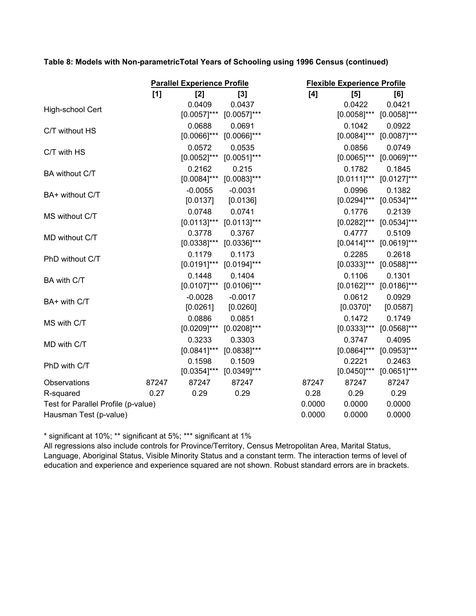**Table 8: Models with Non-parametricTotal Years of Schooling using 1996 Census (continued)**

|                                     |       | <b>Parallel Experience Profile</b> |                |  | <b>Flexible Experience Profile</b> |                  |                |
|-------------------------------------|-------|------------------------------------|----------------|--|------------------------------------|------------------|----------------|
|                                     | [1]   | [2]                                | [3]            |  | [4]                                | [5]              | [6]            |
| High-school Cert                    |       | 0.0409                             | 0.0437         |  |                                    | 0.0422           | 0.0421         |
|                                     |       | $[0.0057]$ ***                     | $[0.0057]$ *** |  |                                    | $[0.0058]^{***}$ | $[0.0058]$ *** |
| C/T without HS                      |       | 0.0688                             | 0.0691         |  |                                    | 0.1042           | 0.0922         |
|                                     |       | $[0.0066]$ ***                     | $[0.0066]$ *** |  |                                    | $[0.0084]^{***}$ | $[0.0087]$ *** |
| C/T with HS                         |       | 0.0572                             | 0.0535         |  |                                    | 0.0856           | 0.0749         |
|                                     |       | $[0.0052]$ ***                     | $[0.0051]$ *** |  |                                    | $[0.0065]$ ***   | $[0.0069]$ *** |
| BA without C/T                      |       | 0.2162                             | 0.215          |  |                                    | 0.1782           | 0.1845         |
|                                     |       | $[0.0084]$ ***                     | $[0.0083]$ *** |  |                                    | $[0.0111]$ ***   | $[0.0127]$ *** |
| BA+ without C/T                     |       | $-0.0055$                          | $-0.0031$      |  |                                    | 0.0996           | 0.1382         |
|                                     |       | [0.0137]                           | [0.0136]       |  |                                    | $[0.0294]$ ***   | $[0.0534]$ *** |
| MS without C/T                      |       | 0.0748                             | 0.0741         |  |                                    | 0.1776           | 0.2139         |
|                                     |       | $[0.0113]$ ***                     | $[0.0113]$ *** |  |                                    | $[0.0282]$ ***   | $[0.0534]$ *** |
| MD without C/T                      |       | 0.3778                             | 0.3767         |  |                                    | 0.4777           | 0.5109         |
|                                     |       | $[0.0338]$ ***                     | $[0.0336]$ *** |  |                                    | $[0.0414]^{***}$ | $[0.0619]$ *** |
| PhD without C/T                     |       | 0.1179                             | 0.1173         |  |                                    | 0.2285           | 0.2618         |
|                                     |       | $[0.0191]^{***}$                   | $[0.0194]$ *** |  |                                    | $[0.0333]$ ***   | $[0.0588]$ *** |
| BA with C/T                         |       | 0.1448                             | 0.1404         |  |                                    | 0.1106           | 0.1301         |
|                                     |       | $[0.0107]$ ***                     | $[0.0106]$ *** |  |                                    | $[0.0162]$ ***   | $[0.0186]$ *** |
| BA+ with C/T                        |       | $-0.0028$                          | $-0.0017$      |  |                                    | 0.0612           | 0.0929         |
|                                     |       | [0.0261]                           | [0.0260]       |  |                                    | $[0.0370]$ *     | [0.0587]       |
| MS with C/T                         |       | 0.0886                             | 0.0851         |  |                                    | 0.1472           | 0.1749         |
|                                     |       | $[0.0209]$ ***                     | $[0.0208]$ *** |  |                                    | $[0.0333]$ ***   | $[0.0568]$ *** |
| MD with C/T                         |       | 0.3233                             | 0.3303         |  |                                    | 0.3747           | 0.4095         |
|                                     |       | $[0.0841]$ ***                     | $[0.0838]$ *** |  |                                    | $[0.0864]$ ***   | $[0.0953]$ *** |
| PhD with C/T                        |       | 0.1598                             | 0.1509         |  |                                    | 0.2221           | 0.2463         |
|                                     |       | $[0.0354]$ ***                     | $[0.0349]$ *** |  |                                    | $[0.0450]$ ***   | $[0.0651]$ *** |
| Observations                        | 87247 | 87247                              | 87247          |  | 87247                              | 87247            | 87247          |
| R-squared                           | 0.27  | 0.29                               | 0.29           |  | 0.28                               | 0.29             | 0.29           |
| Test for Parallel Profile (p-value) |       |                                    |                |  | 0.0000                             | 0.0000           | 0.0000         |
| Hausman Test (p-value)              |       |                                    |                |  | 0.0000                             | 0.0000           | 0.0000         |
|                                     |       |                                    |                |  |                                    |                  |                |

\* significant at 10%; \*\* significant at 5%; \*\*\* significant at 1%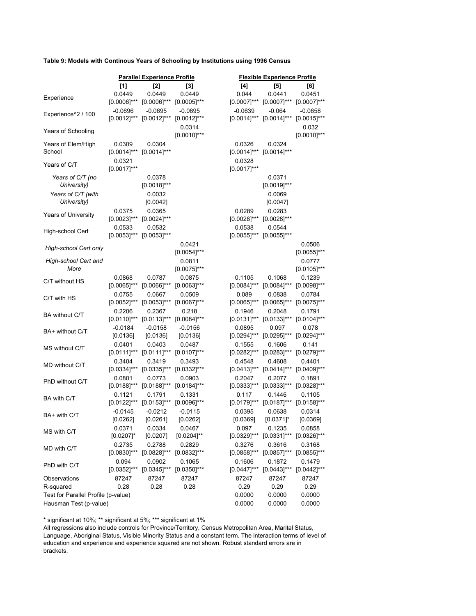#### **Table 9: Models with Continous Years of Schooling by Institutions using 1996 Census**

|                                     | <b>Parallel Experience Profile</b> |                                   |                          |  | <b>Flexible Experience Profile</b> |                                     |                           |  |
|-------------------------------------|------------------------------------|-----------------------------------|--------------------------|--|------------------------------------|-------------------------------------|---------------------------|--|
|                                     | [1]                                | [2]                               | [3]                      |  | [4]                                | [5]                                 | [6]                       |  |
|                                     | 0.0449                             | 0.0449                            | 0.0449                   |  | 0.044                              | 0.0441                              | 0.0451                    |  |
| Experience                          |                                    | $[0.0006]$ *** $[0.0006]$ ***     | $[0.0005]$ ***           |  | $[0.0007]$ ***                     | $[0.0007]^{***}$                    | $[0.0007]$ ***            |  |
|                                     | $-0.0696$                          | $-0.0695$                         | $-0.0695$                |  | $-0.0639$                          | $-0.064$                            | $-0.0658$                 |  |
| Experience^2 / 100                  |                                    | $[0.0012]$ *** $[0.0012]$ ***     | $[0.0012]$ ***           |  |                                    | $[0.0014]$ *** $[0.0014]$ ***       | $[0.0015]$ ***            |  |
| Years of Schooling                  |                                    |                                   | 0.0314<br>$[0.0010]$ *** |  |                                    |                                     | 0.032<br>$[0.0010]^{***}$ |  |
| Years of Elem/High                  | 0.0309                             | 0.0304                            |                          |  | 0.0326                             | 0.0324                              |                           |  |
| School                              | $[0.0014]^{***}$                   | $[0.0014]$ ***                    |                          |  | $[0.0014]^{***}$                   | $[0.0014]$ ***                      |                           |  |
|                                     | 0.0321                             |                                   |                          |  | 0.0328                             |                                     |                           |  |
| Years of C/T                        | $[0.0017]$ ***                     |                                   |                          |  | $[0.0017]$ ***                     |                                     |                           |  |
| Years of C/T (no                    |                                    | 0.0378                            |                          |  |                                    | 0.0371                              |                           |  |
| University)                         |                                    | $[0.0018]$ ***                    |                          |  |                                    | $[0.0019]$ ***                      |                           |  |
| Years of C/T (with                  |                                    | 0.0032                            |                          |  |                                    | 0.0069                              |                           |  |
| University)                         |                                    | [0.0042]                          |                          |  |                                    | [0.0047]                            |                           |  |
|                                     | 0.0375                             | 0.0365                            |                          |  | 0.0289                             | 0.0283                              |                           |  |
| Years of University                 | $[0.0023]$ ***                     | $[0.0024]$ ***                    |                          |  | $[0.0028]^{***}$                   | $[0.0028]$ ***                      |                           |  |
|                                     | 0.0533                             | 0.0532                            |                          |  | 0.0538                             | 0.0544                              |                           |  |
| High-school Cert                    | $[0.0053]$ *** $[0.0053]$ ***      |                                   |                          |  | $[0.0055]$ ***                     | $[0.0055]$ ***                      |                           |  |
|                                     |                                    |                                   | 0.0421                   |  |                                    |                                     | 0.0506                    |  |
| High-school Cert only               |                                    |                                   | $[0.0054]$ ***           |  |                                    |                                     | $[0.0055]$ ***            |  |
| High-school Cert and                |                                    |                                   | 0.0811                   |  |                                    |                                     | 0.0777                    |  |
| More                                |                                    |                                   | $[0.0075]$ ***           |  |                                    |                                     | $[0.0105]$ ***            |  |
|                                     | 0.0868                             | 0.0787                            | 0.0875                   |  | 0.1105                             | 0.1068                              | 0.1239                    |  |
| C/T without HS                      | $[0.0065]$ ***                     | $[0.0066]^{***}$                  | $[0.0063]$ ***           |  | $[0.0084]^{***}$                   | $[0.0084]$ ***                      | $[0.0098]$ ***            |  |
|                                     | 0.0755                             | 0.0667                            | 0.0509                   |  | 0.089                              | 0.0838                              | 0.0784                    |  |
| C/T with HS                         | $[0.0052]^{***}$                   | $[0.0053]^{***}$                  | $[0.0067]$ ***           |  |                                    | $[0.0065]$ *** $[0.0065]$ ***       | $[0.0075]$ ***            |  |
|                                     | 0.2206                             | 0.2367                            | 0.218                    |  | 0.1946                             | 0.2048                              | 0.1791                    |  |
| BA without C/T                      |                                    | $[0.0110]^{***}$ $[0.0113]^{***}$ | $[0.0084]$ ***           |  | $[0.0131]^{***}$                   | $[0.0133]^{***}$                    | $[0.0104]$ ***            |  |
|                                     | $-0.0184$                          | $-0.0158$                         | $-0.0156$                |  | 0.0895                             | 0.097                               | 0.078                     |  |
| BA+ without C/T                     | [0.0136]                           | [0.0136]                          | [0.0136]                 |  | $[0.0294]^{***}$                   | $[0.0295]^{***}$                    | $[0.0294]$ ***            |  |
|                                     | 0.0401                             | 0.0403                            | 0.0487                   |  | 0.1555                             | 0.1606                              | 0.141                     |  |
| MS without C/T                      | $[0.0111]^{***}$                   | $[0.0111]$ ***                    | $[0.0107]$ ***           |  | $[0.0282]$ ***                     | $[0.0283]^{***}$                    | $[0.0279]$ ***            |  |
| MD without C/T                      | 0.3404                             | 0.3419                            | 0.3493                   |  | 0.4548                             | 0.4608                              | 0.4401                    |  |
|                                     | $[0.0334]^{***}$                   | $[0.0335]^{***}$                  | $[0.0332]$ ***           |  | $[0.0413]^{***}$                   | $[0.0414]^{***}$                    | $[0.0409]$ ***            |  |
| PhD without C/T                     | 0.0801                             | 0.0773                            | 0.0903                   |  | 0.2047                             | 0.2077                              | 0.1891                    |  |
|                                     |                                    | $[0.0188]^{***}$ $[0.0188]^{***}$ | $[0.0184]$ ***           |  |                                    | $[0.0333]$ *** $[0.0333]$ ***       | $[0.0328]^{***}$          |  |
| BA with C/T                         | 0.1121                             | 0.1791                            | 0.1331                   |  | 0.117                              | 0.1446                              | 0.1105                    |  |
|                                     |                                    | $[0.0122]$ *** $[0.0153]$ ***     | $[0.0096]^{***}$         |  | $[0.0179]^{***}$                   | $[0.0187]^{***}$                    | $[0.0158]^{***}$          |  |
| BA+ with C/T                        | $-0.0145$                          | $-0.0212$                         | $-0.0115$                |  | 0.0395                             | 0.0638                              | 0.0314                    |  |
|                                     | [0.0262]                           | [0.0261]                          | [0.0262]                 |  | [0.0369]                           | $[0.0371]$ *                        | [0.0369]                  |  |
| MS with C/T                         | 0.0371                             | 0.0334                            | 0.0467                   |  | 0.097                              | 0.1235                              | 0.0858                    |  |
|                                     | $[0.0207]$ *                       | [0.0207]                          | $[0.0204]^{**}$          |  |                                    | [0.0329]*** [0.0331]*** [0.0326]*** |                           |  |
| MD with C/T                         | 0.2735                             | 0.2788                            | 0.2829                   |  | 0.3276                             | 0.3616                              | 0.3168                    |  |
|                                     | $[0.0830]$ ***                     | $[0.0828]$ ***                    | $[0.0832]$ ***           |  | $[0.0858]^{***}$                   | $[0.0857]$ ***                      | $[0.0855]$ ***            |  |
| PhD with C/T                        | 0.094                              | 0.0902                            | 0.1065                   |  | 0.1606                             | 0.1872                              | 0.1479                    |  |
|                                     | $[0.0352]$ ***                     | $[0.0345]$ ***                    | $[0.0350]$ ***           |  | $[0.0447]^{***}$                   | $[0.0443]$ ***                      | $[0.0442]$ ***            |  |
| Observations                        | 87247                              | 87247                             | 87247                    |  | 87247                              | 87247                               | 87247                     |  |
| R-squared                           | 0.28                               | 0.28                              | 0.28                     |  | 0.29                               | 0.29                                | 0.29                      |  |
| Test for Parallel Profile (p-value) |                                    |                                   |                          |  | 0.0000                             | 0.0000                              | 0.0000                    |  |
| Hausman Test (p-value)              |                                    |                                   |                          |  | 0.0000                             | 0.0000                              | 0.0000                    |  |

\* significant at 10%; \*\* significant at 5%; \*\*\* significant at 1%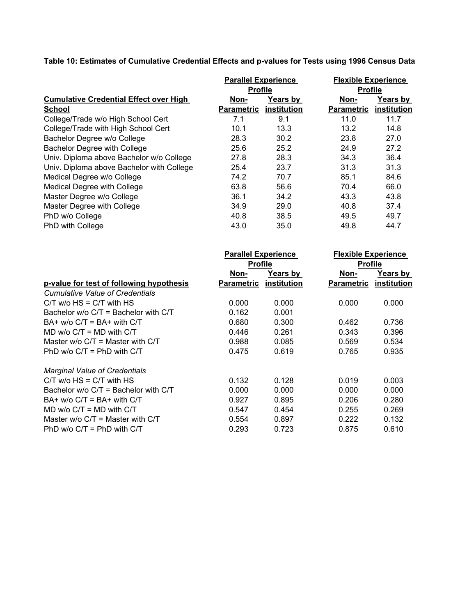**Table 10: Estimates of Cumulative Credential Effects and p-values for Tests using 1996 Census Data**

|                                               | <b>Parallel Experience</b> |             | <b>Flexible Experience</b> |                |  |  |
|-----------------------------------------------|----------------------------|-------------|----------------------------|----------------|--|--|
|                                               | <b>Profile</b>             |             |                            | <b>Profile</b> |  |  |
| <b>Cumulative Credential Effect over High</b> | Non-                       | Years by    | Non-                       | Years by       |  |  |
| <b>School</b>                                 | <b>Parametric</b>          | institution | <b>Parametric</b>          | institution    |  |  |
| College/Trade w/o High School Cert            | 7.1                        | 9.1         | 11.0                       | 11.7           |  |  |
| College/Trade with High School Cert           | 10.1                       | 13.3        | 13.2                       | 14.8           |  |  |
| Bachelor Degree w/o College                   | 28.3                       | 30.2        | 23.8                       | 27.0           |  |  |
| <b>Bachelor Degree with College</b>           | 25.6                       | 25.2        | 24.9                       | 27.2           |  |  |
| Univ. Diploma above Bachelor w/o College      | 27.8                       | 28.3        | 34.3                       | 36.4           |  |  |
| Univ. Diploma above Bachelor with College     | 25.4                       | 23.7        | 31.3                       | 31.3           |  |  |
| Medical Degree w/o College                    | 74.2                       | 70.7        | 85.1                       | 84.6           |  |  |
| Medical Degree with College                   | 63.8                       | 56.6        | 70.4                       | 66.0           |  |  |
| Master Degree w/o College                     | 36.1                       | 34.2        | 43.3                       | 43.8           |  |  |
| Master Degree with College                    | 34.9                       | 29.0        | 40.8                       | 37.4           |  |  |
| PhD w/o College                               | 40.8                       | 38.5        | 49.5                       | 49.7           |  |  |
| PhD with College                              | 43.0                       | 35.0        | 49.8                       | 44.7           |  |  |

|                                          | <b>Parallel Experience</b> |                 |                   | <b>Flexible Experience</b> |  |  |
|------------------------------------------|----------------------------|-----------------|-------------------|----------------------------|--|--|
|                                          | <b>Profile</b>             |                 | <b>Profile</b>    |                            |  |  |
|                                          | Non-                       | <b>Years by</b> | Non-              | Years by                   |  |  |
| p-value for test of following hypothesis | <b>Parametric</b>          | institution     | <b>Parametric</b> | institution                |  |  |
| <b>Cumulative Value of Credentials</b>   |                            |                 |                   |                            |  |  |
| $C/T$ w/o $HS = C/T$ with $HS$           | 0.000                      | 0.000           | 0.000             | 0.000                      |  |  |
| Bachelor $w$ /o C/T = Bachelor with C/T  | 0.162                      | 0.001           |                   |                            |  |  |
| $BA+ w/o$ $C/T = BA+$ with $C/T$         | 0.680                      | 0.300           | 0.462             | 0.736                      |  |  |
| MD $w/o$ C/T = MD with C/T               | 0.446                      | 0.261           | 0.343             | 0.396                      |  |  |
| Master w/o $C/T$ = Master with $C/T$     | 0.988                      | 0.085           | 0.569             | 0.534                      |  |  |
| PhD $w/o$ C/T = PhD with C/T             | 0.475                      | 0.619           | 0.765             | 0.935                      |  |  |
| <b>Marginal Value of Credentials</b>     |                            |                 |                   |                            |  |  |
| $C/T$ w/o $HS = C/T$ with $HS$           | 0.132                      | 0.128           | 0.019             | 0.003                      |  |  |
| Bachelor $w$ /o C/T = Bachelor with C/T  | 0.000                      | 0.000           | 0.000             | 0.000                      |  |  |
| $BA+ w/o$ $C/T = BA+$ with $C/T$         | 0.927                      | 0.895           | 0.206             | 0.280                      |  |  |
| MD $w$ /o $C/T = MD$ with $C/T$          | 0.547                      | 0.454           | 0.255             | 0.269                      |  |  |
| Master $w/o$ C/T = Master with C/T       | 0.554                      | 0.897           | 0.222             | 0.132                      |  |  |
| PhD $w/o$ C/T = PhD with C/T             | 0.293                      | 0.723           | 0.875             | 0.610                      |  |  |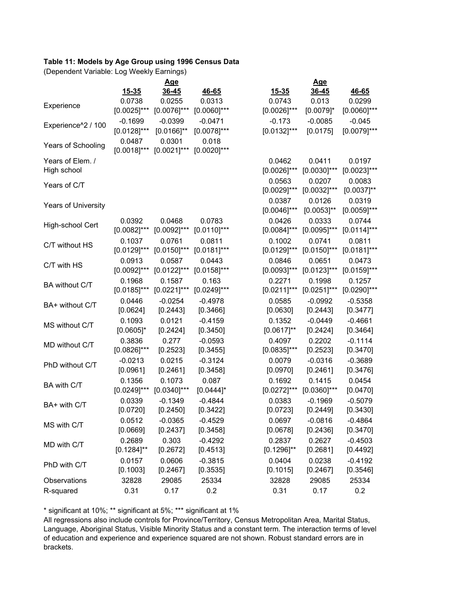#### **Table 11: Models by Age Group using 1996 Census Data**

(Dependent Variable: Log Weekly Earnings)

|                            |                          | <u>Age</u>               |                         | <u>Age</u>               |                            |                    |  |
|----------------------------|--------------------------|--------------------------|-------------------------|--------------------------|----------------------------|--------------------|--|
|                            | $15 - 35$                | $36 - 45$                | 46-65                   | 15-35                    | 36-45                      | 46-65              |  |
|                            | 0.0738                   | 0.0255                   | 0.0313                  | 0.0743                   | 0.013                      | 0.0299             |  |
| Experience                 | $[0.0025]$ ***           | $[0.0076]^{***}$         | $[0.0060]^{***}$        | $[0.0026]$ ***           | $[0.0079]$ *               | $[0.0060]^{***}$   |  |
| Experience^2 / 100         | $-0.1699$                | $-0.0399$                | $-0.0471$               | $-0.173$                 | $-0.0085$                  | $-0.045$           |  |
|                            | $[0.0128]$ ***           | $[0.0166]^{**}$          | $[0.0078]^{***}$        | $[0.0132]$ ***           | [0.0175]                   | $[0.0079]$ ***     |  |
| Years of Schooling         | 0.0487<br>$[0.0018]$ *** | 0.0301<br>$[0.0021]$ *** | 0.018<br>$[0.0020]$ *** |                          |                            |                    |  |
| Years of Elem. /           |                          |                          |                         | 0.0462                   | 0.0411                     | 0.0197             |  |
| High school                |                          |                          |                         | $[0.0026]$ ***           | $[0.0030]$ ***             | $[0.0023]$ ***     |  |
|                            |                          |                          |                         | 0.0563                   | 0.0207                     | 0.0083             |  |
| Years of C/T               |                          |                          |                         | $[0.0029]$ ***           | $[0.0032]$ ***             | $[0.0037]^{**}$    |  |
|                            |                          |                          |                         | 0.0387                   | 0.0126                     | 0.0319             |  |
| <b>Years of University</b> |                          |                          |                         | $[0.0046]$ ***           | $[0.0053]^{**}$            | $[0.0059]$ ***     |  |
|                            | 0.0392                   | 0.0468                   | 0.0783                  | 0.0426                   | 0.0333                     | 0.0744             |  |
| High-school Cert           | $[0.0082]$ ***           | $[0.0092]$ ***           | $[0.0110]$ ***          | $[0.0084]$ ***           | $[0.0095]$ ***             | $[0.0114]$ ***     |  |
| C/T without HS             | 0.1037                   | 0.0761                   | 0.0811                  | 0.1002                   | 0.0741                     | 0.0811             |  |
|                            | $[0.0129]$ ***           | $[0.0150]$ ***           | $[0.0181]$ ***          | $[0.0129]$ ***           | $[0.0150]^{***}$           | $[0.0181]$ ***     |  |
| C/T with HS                | 0.0913                   | 0.0587                   | 0.0443                  | 0.0846                   | 0.0651                     | 0.0473             |  |
|                            | $[0.0092]$ ***           | $[0.0122]$ ***           | $[0.0158]$ ***          | $[0.0093]$ ***           | $[0.0123]$ ***             | $[0.0159]$ ***     |  |
| BA without C/T             | 0.1968                   | 0.1587                   | 0.163                   | 0.2271                   | 0.1998                     | 0.1257             |  |
|                            | $[0.0185]$ ***           | $[0.0221]$ ***           | $[0.0249]$ ***          | $[0.0211]$ ***           | $[0.0251]$ ***             | $[0.0290]$ ***     |  |
| BA+ without C/T            | 0.0446                   | $-0.0254$                | $-0.4978$               | 0.0585                   | $-0.0992$                  | $-0.5358$          |  |
|                            | [0.0624]                 | [0.2443]                 | [0.3466]                | [0.0630]                 | [0.2443]                   | [0.3477]           |  |
| MS without C/T             | 0.1093                   | 0.0121                   | $-0.4159$               | 0.1352                   | $-0.0449$                  | $-0.4661$          |  |
|                            | $[0.0605]$ *             | [0.2424]                 | [0.3450]                | $[0.0617]$ **            | [0.2424]                   | [0.3464]           |  |
| MD without C/T             | 0.3836                   | 0.277                    | $-0.0593$               | 0.4097                   | 0.2202                     | $-0.1114$          |  |
|                            | $[0.0826]$ ***           | [0.2523]                 | [0.3455]                | $[0.0835]$ ***           | [0.2523]                   | [0.3470]           |  |
| PhD without C/T            | $-0.0213$                | 0.0215                   | $-0.3124$               | 0.0079                   | $-0.0316$                  | $-0.3689$          |  |
|                            | [0.0961]                 | [0.2461]                 | [0.3458]                | [0.0970]                 | [0.2461]                   | [0.3476]           |  |
| BA with C/T                | 0.1356<br>$[0.0249]$ *** | 0.1073<br>$[0.0340]$ *** | 0.087<br>$[0.0444]$ *   | 0.1692<br>$[0.0272]$ *** | 0.1415<br>$[0.0360]^{***}$ | 0.0454<br>[0.0470] |  |
|                            |                          |                          | $-0.4844$               |                          |                            | $-0.5079$          |  |
| BA+ with C/T               | 0.0339<br>[0.0720]       | $-0.1349$<br>[0.2450]    | [0.3422]                | 0.0383<br>[0.0723]       | $-0.1969$<br>[0.2449]      | [0.3430]           |  |
|                            | 0.0512                   | $-0.0365$                | $-0.4529$               | 0.0697                   | $-0.0816$                  | $-0.4864$          |  |
| MS with C/T                | [0.0669]                 | [0.2437]                 | [0.3458]                | [0.0678]                 | [0.2436]                   | [0.3470]           |  |
|                            | 0.2689                   | 0.303                    | $-0.4292$               | 0.2837                   | 0.2627                     | $-0.4503$          |  |
| MD with C/T                | $[0.1284]$ **            | [0.2672]                 | [0.4513]                | $[0.1296]^{**}$          | [0.2681]                   | [0.4492]           |  |
|                            | 0.0157                   | 0.0606                   | $-0.3815$               | 0.0404                   | 0.0238                     | $-0.4192$          |  |
| PhD with C/T               | [0.1003]                 | [0.2467]                 | [0.3535]                | [0.1015]                 | [0.2467]                   | [0.3546]           |  |
| Observations               | 32828                    | 29085                    | 25334                   | 32828                    | 29085                      | 25334              |  |
| R-squared                  | 0.31                     | 0.17                     | 0.2                     | 0.31                     | 0.17                       | 0.2                |  |
|                            |                          |                          |                         |                          |                            |                    |  |

\* significant at 10%; \*\* significant at 5%; \*\*\* significant at 1%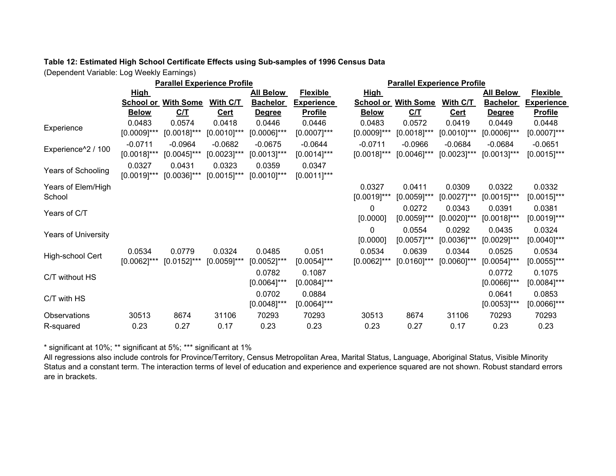#### **Table 12: Estimated High School Certificate Effects using Sub-samples of 1996 Census Data**

(Dependent Variable: Log Weekly Earnings)

| <b>Parallel Experience Profile</b> |                             |                             |                             |                             | <b>Parallel Experience Profile</b> |                             |                             |                             |                             |                             |
|------------------------------------|-----------------------------|-----------------------------|-----------------------------|-----------------------------|------------------------------------|-----------------------------|-----------------------------|-----------------------------|-----------------------------|-----------------------------|
|                                    | <b>High</b>                 |                             |                             | <b>All Below</b>            | <b>Flexible</b>                    | <b>High</b>                 |                             |                             | <b>All Below</b>            | <b>Flexible</b>             |
|                                    | School or                   | <b>With Some</b>            | With C/T                    | <b>Bachelor</b>             | <b>Experience</b>                  | <b>School or</b>            | <b>With Some</b>            | With C/T                    | <b>Bachelor</b>             | <b>Experience</b>           |
|                                    | <b>Below</b>                | C/T                         | <b>Cert</b>                 | <b>Degree</b>               | <b>Profile</b>                     | <b>Below</b>                | C/T                         | <b>Cert</b>                 | <b>Degree</b>               | <b>Profile</b>              |
| Experience                         | 0.0483<br>$[0.0009]$ ***    | 0.0574<br>$[0.0018]$ ***    | 0.0418<br>$[0.0010]$ ***    | 0.0446<br>$[0.0006]$ ***    | 0.0446<br>$[0.0007]$ ***           | 0.0483<br>$[0.0009]$ ***    | 0.0572<br>$[0.0018]$ ***    | 0.0419<br>$[0.0010]$ ***    | 0.0449<br>$[0.0006]^{***}$  | 0.0448<br>$[0.0007]$ ***    |
| Experience^2 / 100                 | $-0.0711$<br>$[0.0018]$ *** | $-0.0964$<br>$[0.0045]$ *** | $-0.0682$<br>$[0.0023]$ *** | $-0.0675$<br>$[0.0013]$ *** | $-0.0644$<br>$[0.0014]$ ***        | $-0.0711$<br>$[0.0018]$ *** | $-0.0966$<br>$[0.0046]$ *** | $-0.0684$<br>$[0.0023]$ *** | $-0.0684$<br>$[0.0013]$ *** | $-0.0651$<br>$[0.0015]$ *** |
| Years of Schooling                 | 0.0327<br>$[0.0019]$ ***    | 0.0431<br>$[0.0036]$ ***    | 0.0323<br>$[0.0015]$ ***    | 0.0359<br>$[0.0010]$ ***    | 0.0347<br>$[0.0011]$ ***           |                             |                             |                             |                             |                             |
| Years of Elem/High<br>School       |                             |                             |                             |                             |                                    | 0.0327<br>$[0.0019]^{***}$  | 0.0411<br>$[0.0059]$ ***    | 0.0309<br>$[0.0027]$ ***    | 0.0322<br>$[0.0015]$ ***    | 0.0332<br>$[0.0015]$ ***    |
| Years of C/T                       |                             |                             |                             |                             |                                    | 0<br>[0.0000]               | 0.0272<br>$[0.0059]$ ***    | 0.0343<br>$[0.0020]$ ***    | 0.0391<br>$[0.0018]$ ***    | 0.0381<br>$[0.0019]$ ***    |
| <b>Years of University</b>         |                             |                             |                             |                             |                                    | 0<br>[0.0000]               | 0.0554<br>$[0.0057]$ ***    | 0.0292<br>$[0.0036]$ ***    | 0.0435<br>$[0.0029]$ ***    | 0.0324<br>$[0.0040]$ ***    |
| High-school Cert                   | 0.0534<br>$[0.0062]$ ***    | 0.0779<br>$[0.0152]$ ***    | 0.0324<br>$[0.0059]$ ***    | 0.0485<br>$[0.0052]$ ***    | 0.051<br>$[0.0054]$ ***            | 0.0534<br>$[0.0062]^{***}$  | 0.0639<br>$[0.0160]^{***}$  | 0.0344<br>$[0.0060]$ ***    | 0.0525<br>$[0.0054]$ ***    | 0.0534<br>$[0.0055]$ ***    |
| C/T without HS                     |                             |                             |                             | 0.0782<br>$[0.0064]$ ***    | 0.1087<br>$[0.0084]$ ***           |                             |                             |                             | 0.0772<br>$[0.0066]$ ***    | 0.1075<br>$[0.0084]$ ***    |
| C/T with HS                        |                             |                             |                             | 0.0702<br>$[0.0048]$ ***    | 0.0884<br>$[0.0064]$ ***           |                             |                             |                             | 0.0641<br>$[0.0053]$ ***    | 0.0853<br>$[0.0066]$ ***    |
| Observations<br>R-squared          | 30513<br>0.23               | 8674<br>0.27                | 31106<br>0.17               | 70293<br>0.23               | 70293<br>0.23                      | 30513<br>0.23               | 8674<br>0.27                | 31106<br>0.17               | 70293<br>0.23               | 70293<br>0.23               |

\* significant at 10%; \*\* significant at 5%; \*\*\* significant at 1%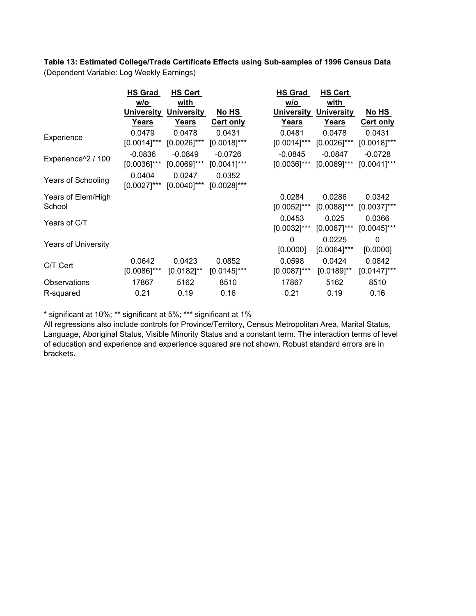**Table 13: Estimated College/Trade Certificate Effects using Sub-samples of 1996 Census Data** (Dependent Variable: Log Weekly Earnings)

|                                | <b>HS Grad</b>    | <b>HS Cert</b>    |                  | <b>HS Grad</b>    | HS Cert           |                  |
|--------------------------------|-------------------|-------------------|------------------|-------------------|-------------------|------------------|
|                                | w/o               | with              |                  | w/o               | with              |                  |
|                                | <b>University</b> | <b>University</b> | No HS            | <b>University</b> | <b>University</b> | No HS            |
|                                | Years             | Years             | <b>Cert only</b> | <b>Years</b>      | <b>Years</b>      | <b>Cert only</b> |
| Experience                     | 0.0479            | 0.0478            | 0.0431           | 0.0481            | 0.0478            | 0.0431           |
|                                | $[0.0014]$ ***    | $[0.0026]$ ***    | $[0.0018]$ ***   | $[0.0014]$ ***    | $[0.0026]$ ***    | $[0.0018]$ ***   |
| Experience <sup>^2</sup> / 100 | $-0.0836$         | $-0.0849$         | $-0.0726$        | $-0.0845$         | $-0.0847$         | $-0.0728$        |
|                                | $[0.0036]$ ***    | $[0.0069]$ ***    | $[0.0041]$ ***   | $[0.0036]$ ***    | $[0.0069]$ ***    | $[0.0041]$ ***   |
|                                | 0.0404            | 0.0247            | 0.0352           |                   |                   |                  |
| Years of Schooling             | $[0.0027]$ ***    | $[0.0040]$ ***    | $[0.0028]$ ***   |                   |                   |                  |
| Years of Elem/High             |                   |                   |                  | 0.0284            | 0.0286            | 0.0342           |
| School                         |                   |                   |                  | $[0.0052]$ ***    | $[0.0088]$ ***    | $[0.0037]$ ***   |
| Years of C/T                   |                   |                   |                  | 0.0453            | 0.025             | 0.0366           |
|                                |                   |                   |                  | $[0.0032]$ ***    | $[0.0067]$ ***    | $[0.0045]$ ***   |
|                                |                   |                   |                  | 0                 | 0.0225            | 0                |
| <b>Years of University</b>     |                   |                   |                  | [0.0000]          | $[0.0064]$ ***    | [0.0000]         |
|                                | 0.0642            | 0.0423            | 0.0852           | 0.0598            | 0.0424            | 0.0842           |
| C/T Cert                       | $[0.0086]$ ***    | $[0.0182]^{**}$   | $[0.0145]$ ***   | $[0.0087]$ ***    | $[0.0189]$ **     | $[0.0147]$ ***   |
| Observations                   | 17867             | 5162              | 8510             | 17867             | 5162              | 8510             |
| R-squared                      | 0.21              | 0.19              | 0.16             | 0.21              | 0.19              | 0.16             |
|                                |                   |                   |                  |                   |                   |                  |

\* significant at 10%; \*\* significant at 5%; \*\*\* significant at 1%